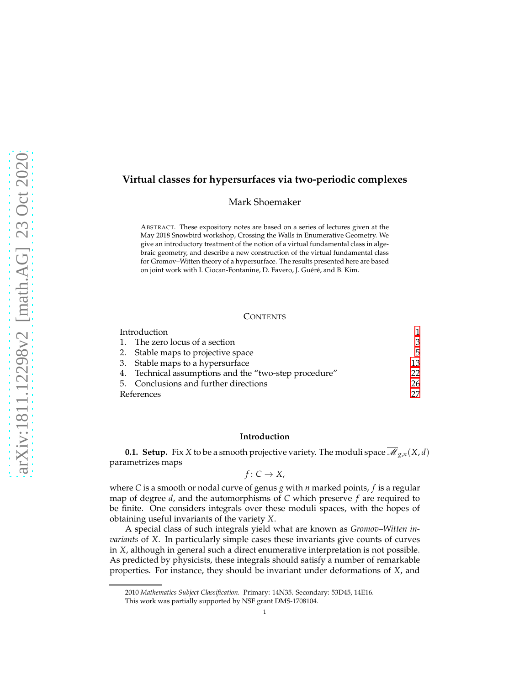# **Virtual classes for hypersurfaces via two-periodic complexes**

Mark Shoemaker

ABSTRACT. These expository notes are based on a series of lectures given at the May 2018 Snowbird workshop, Crossing the Walls in Enumerative Geometry. We give an introductory treatment of the notion of a virtual fundamental class in algebraic geometry, and describe a new construction of the virtual fundamental class for Gromov–Witten theory of a hypersurface. The results presented here are based on joint work with I. Ciocan-Fontanine, D. Favero, J. Guéré, and B. Kim.

## **CONTENTS**

| Introduction |                                                       |     |
|--------------|-------------------------------------------------------|-----|
|              | 1. The zero locus of a section                        | 3   |
|              | 2. Stable maps to projective space                    | 5   |
|              | 3. Stable maps to a hypersurface                      | 13  |
|              | 4. Technical assumptions and the "two-step procedure" | 22. |
|              | 5. Conclusions and further directions                 | 26  |
| References   |                                                       | 27  |

## <span id="page-0-0"></span>**Introduction**

**0.1. Setup.** Fix *X* to be a smooth projective variety. The moduli space  $\overline{\mathcal{M}}_{g,n}(X,d)$ parametrizes maps

 $f: C \rightarrow X$ ,

where *C* is a smooth or nodal curve of genus *g* with *n* marked points, *f* is a regular map of degree *d*, and the automorphisms of *C* which preserve *f* are required to be finite. One considers integrals over these moduli spaces, with the hopes of obtaining useful invariants of the variety *X*.

A special class of such integrals yield what are known as *Gromov–Witten invariants* of *X*. In particularly simple cases these invariants give counts of curves in *X*, although in general such a direct enumerative interpretation is not possible. As predicted by physicists, these integrals should satisfy a number of remarkable properties. For instance, they should be invariant under deformations of *X*, and

<sup>2010</sup> *Mathematics Subject Classification.* Primary: 14N35. Secondary: 53D45, 14E16.

This work was partially supported by NSF grant DMS-1708104.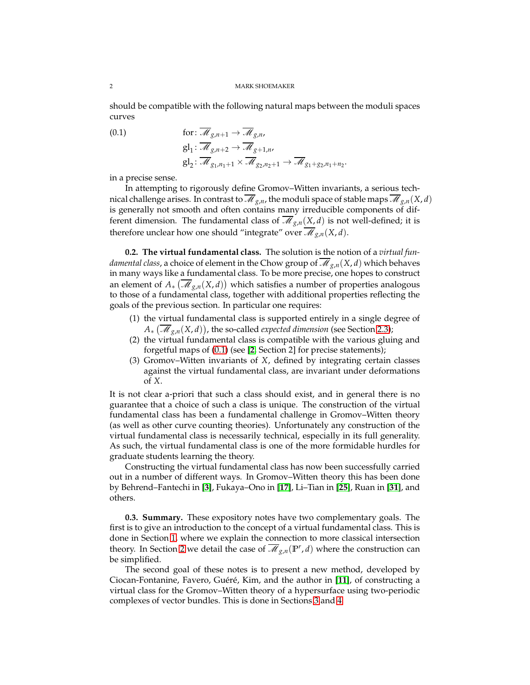should be compatible with the following natural maps between the moduli spaces curves

<span id="page-1-0"></span>(0.1) 
$$
\begin{aligned}\n\text{for: } \overline{\mathcal{M}}_{g,n+1} &\to \overline{\mathcal{M}}_{g,n}, \\
\text{gl}_1: \overline{\mathcal{M}}_{g,n+2} &\to \overline{\mathcal{M}}_{g+1,n}, \\
\text{gl}_2: \overline{\mathcal{M}}_{g_1,n_1+1} &\times \overline{\mathcal{M}}_{g_2,n_2+1} &\to \overline{\mathcal{M}}_{g_1+g_2,n_1+n_2}.\n\end{aligned}
$$

in a precise sense.

In attempting to rigorously define Gromov–Witten invariants, a serious technical challenge arises. In contrast to  $\overline{\mathcal{M}}_{g,n}$ , the moduli space of stable maps  $\overline{\mathcal{M}}_{g,n}(X,d)$ is generally not smooth and often contains many irreducible components of different dimension. The fundamental class of  $\mathcal{M}_{g,n}(X,d)$  is not well-defined; it is therefore unclear how one should "integrate" over  $\mathcal{M}_{g,n}(X,d)$ .

**0.2. The virtual fundamental class.** The solution is the notion of a *virtual fundamental class,* a choice of element in the Chow group of  $\overline{\mathcal{M}}_{g,n}(X,d)$  which behaves in many ways like a fundamental class. To be more precise, one hopes to construct an element of  $A_*\left(\overline{\mathcal{M}}_{g,n}(X,d)\right)$  which satisfies a number of properties analogous to those of a fundamental class, together with additional properties reflecting the goals of the previous section. In particular one requires:

- (1) the virtual fundamental class is supported entirely in a single degree of *A*∗ M *<sup>g</sup>*,*n*(*X*, *d*) , the so-called *expected dimension* (see Section [2.3\)](#page-9-0);
- (2) the virtual fundamental class is compatible with the various gluing and forgetful maps of [\(0.1\)](#page-1-0) (see [**[2](#page-26-1)**, Section 2] for precise statements);
- (3) Gromov–Witten invariants of *X*, defined by integrating certain classes against the virtual fundamental class, are invariant under deformations of *X*.

It is not clear a-priori that such a class should exist, and in general there is no guarantee that a choice of such a class is unique. The construction of the virtual fundamental class has been a fundamental challenge in Gromov–Witten theory (as well as other curve counting theories). Unfortunately any construction of the virtual fundamental class is necessarily technical, especially in its full generality. As such, the virtual fundamental class is one of the more formidable hurdles for graduate students learning the theory.

Constructing the virtual fundamental class has now been successfully carried out in a number of different ways. In Gromov–Witten theory this has been done by Behrend–Fantechi in [**[3](#page-26-2)**], Fukaya–Ono in [**[17](#page-26-3)**], Li–Tian in [**[25](#page-26-4)**], Ruan in [**[31](#page-27-0)**], and others.

**0.3. Summary.** These expository notes have two complementary goals. The first is to give an introduction to the concept of a virtual fundamental class. This is done in Section [1,](#page-2-0) where we explain the connection to more classical intersection theory. In Section [2](#page-4-0) we detail the case of  $\overline{\mathcal{M}}_{g,n}(\mathbb{P}^r, d)$  where the construction can be simplified.

The second goal of these notes is to present a new method, developed by Ciocan-Fontanine, Favero, Guéré, Kim, and the author in [[11](#page-26-5)], of constructing a virtual class for the Gromov–Witten theory of a hypersurface using two-periodic complexes of vector bundles. This is done in Sections [3](#page-12-0) and [4.](#page-21-0)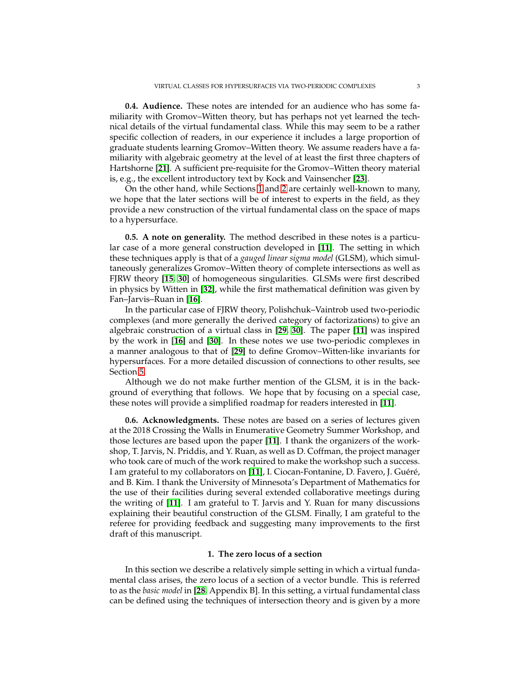**0.4. Audience.** These notes are intended for an audience who has some familiarity with Gromov–Witten theory, but has perhaps not yet learned the technical details of the virtual fundamental class. While this may seem to be a rather specific collection of readers, in our experience it includes a large proportion of graduate students learning Gromov–Witten theory. We assume readers have a familiarity with algebraic geometry at the level of at least the first three chapters of Hartshorne [**[21](#page-26-6)**]. A sufficient pre-requisite for the Gromov–Witten theory material is, e.g., the excellent introductory text by Kock and Vainsencher [**[23](#page-26-7)**].

On the other hand, while Sections [1](#page-2-0) and [2](#page-4-0) are certainly well-known to many, we hope that the later sections will be of interest to experts in the field, as they provide a new construction of the virtual fundamental class on the space of maps to a hypersurface.

**0.5. A note on generality.** The method described in these notes is a particular case of a more general construction developed in [**[11](#page-26-5)**]. The setting in which these techniques apply is that of a *gauged linear sigma model* (GLSM), which simultaneously generalizes Gromov–Witten theory of complete intersections as well as FJRW theory [**[15,](#page-26-8) [30](#page-27-1)**] of homogeneous singularities. GLSMs were first described in physics by Witten in [**[32](#page-27-2)**], while the first mathematical definition was given by Fan–Jarvis–Ruan in [**[16](#page-26-9)**].

In the particular case of FJRW theory, Polishchuk–Vaintrob used two-periodic complexes (and more generally the derived category of factorizations) to give an algebraic construction of a virtual class in [**[29,](#page-27-3) [30](#page-27-1)**]. The paper [**[11](#page-26-5)**] was inspired by the work in [**[16](#page-26-9)**] and [**[30](#page-27-1)**]. In these notes we use two-periodic complexes in a manner analogous to that of [**[29](#page-27-3)**] to define Gromov–Witten-like invariants for hypersurfaces. For a more detailed discussion of connections to other results, see Section [5.](#page-25-0)

Although we do not make further mention of the GLSM, it is in the background of everything that follows. We hope that by focusing on a special case, these notes will provide a simplified roadmap for readers interested in [**[11](#page-26-5)**].

**0.6. Acknowledgments.** These notes are based on a series of lectures given at the 2018 Crossing the Walls in Enumerative Geometry Summer Workshop, and those lectures are based upon the paper [**[11](#page-26-5)**]. I thank the organizers of the workshop, T. Jarvis, N. Priddis, and Y. Ruan, as well as D. Coffman, the project manager who took care of much of the work required to make the workshop such a success. I am grateful to my collaborators on [[11](#page-26-5)], I. Ciocan-Fontanine, D. Favero, J. Guéré, and B. Kim. I thank the University of Minnesota's Department of Mathematics for the use of their facilities during several extended collaborative meetings during the writing of [**[11](#page-26-5)**]. I am grateful to T. Jarvis and Y. Ruan for many discussions explaining their beautiful construction of the GLSM. Finally, I am grateful to the referee for providing feedback and suggesting many improvements to the first draft of this manuscript.

### **1. The zero locus of a section**

<span id="page-2-0"></span>In this section we describe a relatively simple setting in which a virtual fundamental class arises, the zero locus of a section of a vector bundle. This is referred to as the *basic model* in [**[28](#page-27-4)**, Appendix B]. In this setting, a virtual fundamental class can be defined using the techniques of intersection theory and is given by a more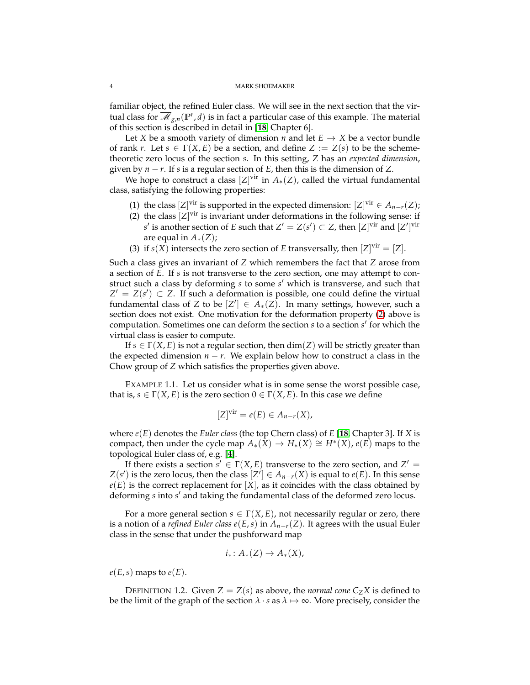familiar object, the refined Euler class. We will see in the next section that the virtual class for  $\overline{\mathcal{M}}_{g,n}(\mathbb{P}^r, d)$  is in fact a particular case of this example. The material of this section is described in detail in [**[18](#page-26-10)**, Chapter 6].

Let *X* be a smooth variety of dimension *n* and let  $E \rightarrow X$  be a vector bundle of rank *r*. Let  $s \in \Gamma(X, E)$  be a section, and define  $Z := Z(s)$  to be the schemetheoretic zero locus of the section *s*. In this setting, *Z* has an *expected dimension*, given by *n* − *r*. If *s* is a regular section of *E*, then this is the dimension of *Z*.

We hope to construct a class  $[Z]^\text{vir}$  in  $A_*(Z)$ , called the virtual fundamental class, satisfying the following properties:

- <span id="page-3-0"></span>(1) the class  $[Z]$ <sup>vir</sup> is supported in the expected dimension:  $[Z]$ <sup>vir</sup>  $\in A_{n-r}(Z)$ ;
- (2) the class  $[Z]$ <sup>vir</sup> is invariant under deformations in the following sense: if *s*<sup>*'*</sup> is another section of *E* such that *Z'* = *Z*(*s'*) ⊂ *Z*, then [*Z*]<sup>vir</sup> and [*Z'*]<sup>vir</sup> are equal in *A*∗(*Z*);
- (3) if  $s(X)$  intersects the zero section of *E* transversally, then  $[Z]$ <sup>vir</sup> =  $[Z]$ .

Such a class gives an invariant of *Z* which remembers the fact that *Z* arose from a section of *E*. If *s* is not transverse to the zero section, one may attempt to construct such a class by deforming *s* to some *s* ′ which is transverse, and such that  $Z' = Z(s') \subset Z$ . If such a deformation is possible, one could define the virtual fundamental class of *Z* to be  $[Z'] \in A_*(Z)$ . In many settings, however, such a section does not exist. One motivation for the deformation property [\(2\)](#page-3-0) above is computation. Sometimes one can deform the section *s* to a section *s'* for which the virtual class is easier to compute.

If  $s \in \Gamma(X, E)$  is not a regular section, then  $\dim(Z)$  will be strictly greater than the expected dimension  $n - r$ . We explain below how to construct a class in the Chow group of *Z* which satisfies the properties given above.

EXAMPLE 1.1. Let us consider what is in some sense the worst possible case, that is,  $s \in \Gamma(X, E)$  is the zero section  $0 \in \Gamma(X, E)$ . In this case we define

$$
[Z]^{vir} = e(E) \in A_{n-r}(X),
$$

where *e*(*E*) denotes the *Euler class* (the top Chern class) of *E* [**[18](#page-26-10)**, Chapter 3]. If *X* is compact, then under the cycle map  $A_*(X) \to H_*(X) \cong H^*(X)$ ,  $e(E)$  maps to the topological Euler class of, e.g. [**[4](#page-26-11)**].

If there exists a section  $s' \in \Gamma(X, E)$  transverse to the zero section, and  $Z' =$ *Z*(*s*<sup> $′$ </sup>) is the zero locus, then the class  $[Z']$  ∈  $A$ <sup>*n*−*r*(*X*) is equal to *e*(*E*). In this sense</sup>  $e(E)$  is the correct replacement for  $[X]$ , as it coincides with the class obtained by deforming *s* into *s* ′ and taking the fundamental class of the deformed zero locus.

For a more general section  $s \in \Gamma(X, E)$ , not necessarily regular or zero, there is a notion of a *refined Euler class e(E, s)* in  $A_{n-r}(Z)$ . It agrees with the usual Euler class in the sense that under the pushforward map

$$
i_*\colon A_*(Z)\to A_*(X),
$$

 $e(E, s)$  maps to  $e(E)$ .

<span id="page-3-1"></span>DEFINITION 1.2. Given  $Z = Z(s)$  as above, the *normal cone*  $C_Z X$  is defined to be the limit of the graph of the section  $\lambda \cdot s$  as  $\lambda \mapsto \infty$ . More precisely, consider the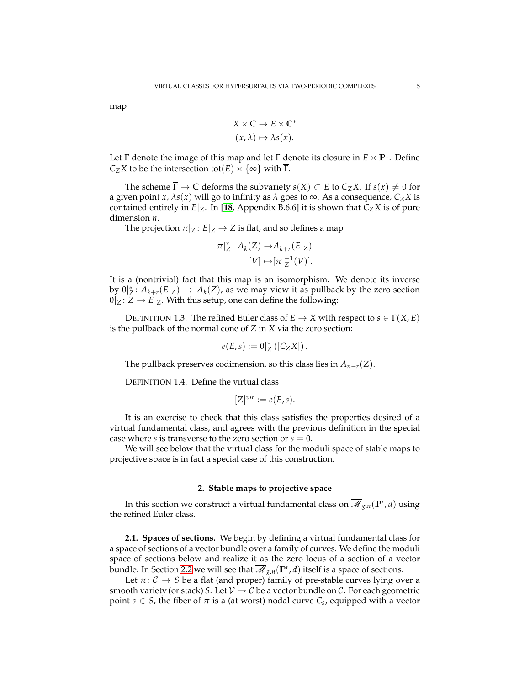map

$$
X \times C \to E \times C^*
$$
  

$$
(x, \lambda) \mapsto \lambda s(x).
$$

Let  $\Gamma$  denote the image of this map and let  $\overline{\Gamma}$  denote its closure in  $E \times \mathbb{P}^1$ . Define *C*<sub>*Z*</sub>*X* to be the intersection tot(*E*)  $\times$  {∞} with  $\overline{\Gamma}$ .

The scheme  $\overline{\Gamma} \to \mathbb{C}$  deforms the subvariety *s*(*X*)  $\subset E$  to  $C_Z X$ . If *s*(*x*)  $\neq 0$  for a given point *x*,  $\lambda s(x)$  will go to infinity as  $\lambda$  goes to  $\infty$ . As a consequence,  $C_Z X$  is contained entirely in  $E|_Z$ . In [[18](#page-26-10), Appendix B.6.6] it is shown that  $C_ZX$  is of pure dimension *n*.

The projection  $\pi|_Z : E|_Z \to Z$  is flat, and so defines a map

$$
\pi|_{Z}^{*} \colon A_{k}(Z) \to A_{k+r}(E|_{Z})
$$

$$
[V] \mapsto [\pi|_{Z}^{-1}(V)].
$$

It is a (nontrivial) fact that this map is an isomorphism. We denote its inverse by  $0|_{Z}^{*}: A_{k+r}(E|_{Z}) \to A_{k}(Z)$ , as we may view it as pullback by the zero section  $0|Z: Z \to E|Z$ . With this setup, one can define the following:

<span id="page-4-3"></span>DEFINITION 1.3. The refined Euler class of  $E \to X$  with respect to  $s \in \Gamma(X, E)$ is the pullback of the normal cone of *Z* in *X* via the zero section:

$$
e(E,s):=0|_Z^*\left(\left[C_ZX\right]\right).
$$

The pullback preserves codimension, so this class lies in  $A_{n-r}(Z)$ .

<span id="page-4-2"></span>DEFINITION 1.4. Define the virtual class

$$
[Z]^{vir} := e(E, s).
$$

It is an exercise to check that this class satisfies the properties desired of a virtual fundamental class, and agrees with the previous definition in the special case where *s* is transverse to the zero section or  $s = 0$ .

We will see below that the virtual class for the moduli space of stable maps to projective space is in fact a special case of this construction.

## **2. Stable maps to projective space**

<span id="page-4-0"></span>In this section we construct a virtual fundamental class on  $\overline{\mathscr{M}}_{g,n}(\mathbb{P}^r,d)$  using the refined Euler class.

<span id="page-4-1"></span>**2.1. Spaces of sections.** We begin by defining a virtual fundamental class for a space of sections of a vector bundle over a family of curves. We define the moduli space of sections below and realize it as the zero locus of a section of a vector bundle. In Section [2.2](#page-7-0) we will see that  $\overline{\mathscr{M}}_{g,n}({\mathbb P}^r,d)$  itself is a space of sections.

Let  $\pi: \mathcal{C} \to S$  be a flat (and proper) family of pre-stable curves lying over a smooth variety (or stack) *S*. Let  $V \to C$  be a vector bundle on C. For each geometric point  $s \in S$ , the fiber of  $\pi$  is a (at worst) nodal curve  $C_s$ , equipped with a vector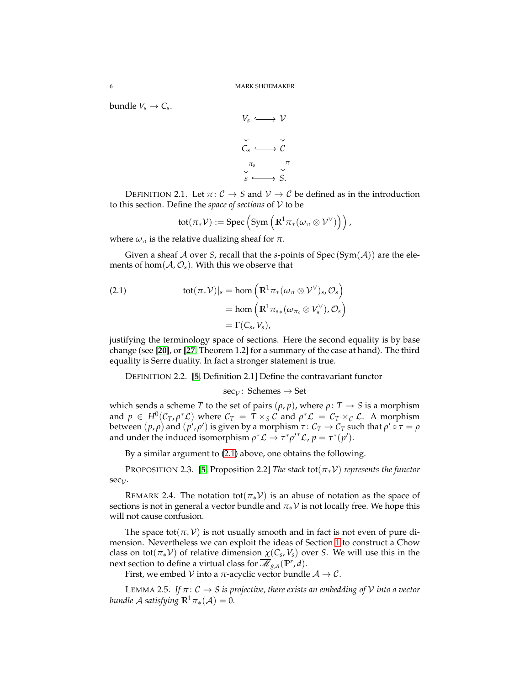bundle  $V_s \rightarrow C_s$ .



<span id="page-5-1"></span>DEFINITION 2.1. Let  $\pi: \mathcal{C} \to S$  and  $\mathcal{V} \to \mathcal{C}$  be defined as in the introduction to this section. Define the *space of sections* of V to be

$$
\mathrm{tot}(\pi_*\mathcal{V}) := \mathrm{Spec}\left(\mathrm{Sym}\left(\mathbb{R}^1\pi_*(\omega_\pi\otimes \mathcal{V}^\vee)\right)\right),
$$

where  $\omega_{\pi}$  is the relative dualizing sheaf for  $\pi$ .

Given a sheaf A over *S*, recall that the *s*-points of Spec (Sym( $A$ )) are the elements of hom $(A, O_s)$ . With this we observe that

<span id="page-5-0"></span>(2.1) 
$$
\begin{aligned} \text{tot}(\pi_* \mathcal{V})|_{s} &= \text{hom}\left(\mathbb{R}^1 \pi_* (\omega_{\pi} \otimes \mathcal{V}^{\vee})_{s}, \mathcal{O}_s\right) \\ &= \text{hom}\left(\mathbb{R}^1 \pi_{s*} (\omega_{\pi_s} \otimes V_s^{\vee}), \mathcal{O}_s\right) \\ &= \Gamma(C_{s}, V_s), \end{aligned}
$$

justifying the terminology space of sections. Here the second equality is by base change (see [**[20](#page-26-12)**], or [**[27](#page-27-5)**, Theorem 1.2] for a summary of the case at hand). The third equality is Serre duality. In fact a stronger statement is true.

DEFINITION 2.2. [**[5](#page-26-13)**, Definition 2.1] Define the contravariant functor

$$
sec_{\mathcal{V}}\colon\thinspace \mathsf{Schemes}\to\mathsf{Set}
$$

which sends a scheme *T* to the set of pairs  $(\rho, p)$ , where  $\rho: T \rightarrow S$  is a morphism and  $p \in H^0(\mathcal{C}_T, \rho^*\mathcal{L})$  where  $\mathcal{C}_T = T \times_S \mathcal{C}$  and  $\rho^*\mathcal{L} = \mathcal{C}_T \times_{\mathcal{C}} \mathcal{L}$ . A morphism between  $(p, \rho)$  and  $(p', \rho')$  is given by a morphism  $\tau\colon \mathcal C_T\to \mathcal C_T$  such that  $\rho'\circ\tau=\rho$ and under the induced isomorphism  $\rho^* \mathcal{L} \to \tau^* \rho'^* \mathcal{L}$ ,  $p = \tau^* (\rho')$ .

By a similar argument to [\(2.1\)](#page-5-0) above, one obtains the following.

<span id="page-5-2"></span>PROPOSITION 2.3. [**[5](#page-26-13)**, Proposition 2.2] *The stack* tot(*π*∗V) *represents the functor* sec<sub> $\gamma$ </sub>.

REMARK 2.4. The notation tot( $\pi_* \mathcal{V}$ ) is an abuse of notation as the space of sections is not in general a vector bundle and  $\pi_*\mathcal{V}$  is not locally free. We hope this will not cause confusion.

The space tot( $\pi_*\mathcal{V}$ ) is not usually smooth and in fact is not even of pure dimension. Nevertheless we can exploit the ideas of Section [1](#page-2-0) to construct a Chow class on tot( $\pi_* V$ ) of relative dimension  $\chi(C_s, V_s)$  over *S*. We will use this in the next section to define a virtual class for  $\overline{\mathscr{M}}_{g,n}(\mathbb{P}^r,d).$ 

First, we embed V into a  $\pi$ -acyclic vector bundle  $A \rightarrow C$ .

LEMMA 2.5. *If*  $\pi: C \rightarrow S$  *is projective, there exists an embedding of V into a vector bundle A satisfying*  $\mathbb{R}^1 \pi_*(\mathcal{A}) = 0$ *.*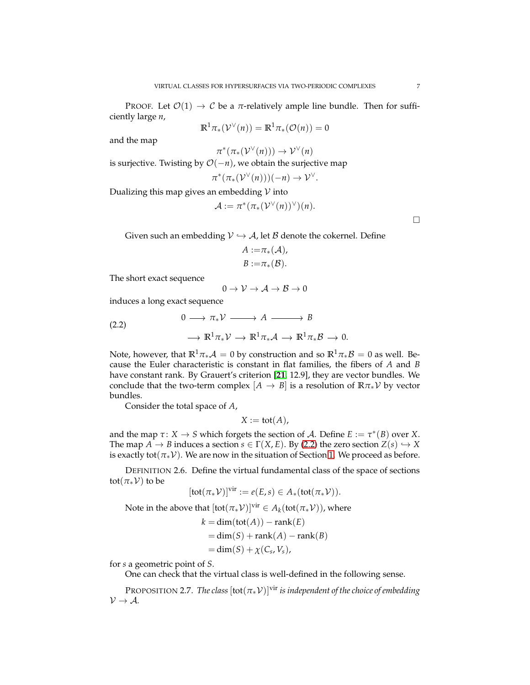$$
\mathbb{R}^1 \pi_* (\mathcal{V}^\vee(n)) = \mathbb{R}^1 \pi_* (\mathcal{O}(n)) = 0
$$

and the map

 $\pi^*(\pi_*(\mathcal{V}^\vee(n))) \to \mathcal{V}^\vee(n)$ 

is surjective. Twisting by  $O(-n)$ , we obtain the surjective map

$$
\pi^*(\pi_*(\mathcal{V}^\vee(n)))(-n) \to \mathcal{V}^\vee.
$$

Dualizing this map gives an embedding  $V$  into

$$
\mathcal{A} := \pi^*(\pi_*(\mathcal{V}^\vee(n))^\vee)(n).
$$

 $\Box$ 

Given such an embedding  $V \hookrightarrow A$ , let B denote the cokernel. Define

$$
A := \pi_*(A),
$$
  

$$
B := \pi_*(B).
$$

The short exact sequence

<span id="page-6-0"></span>
$$
0\to \mathcal{V}\to \mathcal{A}\to \mathcal{B}\to 0
$$

induces a long exact sequence

(2.2) 
$$
0 \longrightarrow \pi_* \mathcal{V} \longrightarrow A \longrightarrow B
$$

$$
\longrightarrow \mathbb{R}^1 \pi_* \mathcal{V} \longrightarrow \mathbb{R}^1 \pi_* \mathcal{A} \longrightarrow \mathbb{R}^1 \pi_* \mathcal{B} \longrightarrow 0.
$$

Note, however, that  $\mathbb{R}^1 \pi_* A = 0$  by construction and so  $\mathbb{R}^1 \pi_* \mathcal{B} = 0$  as well. Because the Euler characteristic is constant in flat families, the fibers of *A* and *B* have constant rank. By Grauert's criterion [**[21](#page-26-6)**, 12.9], they are vector bundles. We conclude that the two-term complex  $[A \rightarrow B]$  is a resolution of  $\mathbb{R} \pi_* \mathcal{V}$  by vector bundles.

Consider the total space of *A*,

$$
X := \text{tot}(A),
$$

and the map  $\tau: X \to S$  which forgets the section of A. Define  $E := \tau^*(B)$  over X. The map  $A \to B$  induces a section  $s \in \Gamma(X, E)$ . By [\(2.2\)](#page-6-0) the zero section  $Z(s) \hookrightarrow X$ is exactly tot( $\pi_*\mathcal{V}$ ). We are now in the situation of Section [1.](#page-2-0) We proceed as before.

DEFINITION 2.6. Define the virtual fundamental class of the space of sections tot( $\pi_*\mathcal{V}$ ) to be

$$
[\text{tot}(\pi_*\mathcal{V})]^{\text{vir}} := e(E,s) \in A_*(\text{tot}(\pi_*\mathcal{V})).
$$

Note in the above that  $[\text{tot}(\pi_*\mathcal{V})]^{\text{vir}} \in A_k(\text{tot}(\pi_*\mathcal{V}))$ , where

$$
k = \dim(\text{tot}(A)) - \text{rank}(E)
$$
  
= \dim(S) + \text{rank}(A) - \text{rank}(B)  
= \dim(S) + \chi(C\_s, V\_s),

for *s* a geometric point of *S*.

One can check that the virtual class is well-defined in the following sense.

PROPOSITION 2.7. *The class*  $[\text{tot}(\pi_* \mathcal{V})]^{\text{vir}}$  *is independent of the choice of embedding*  $V \rightarrow A$ .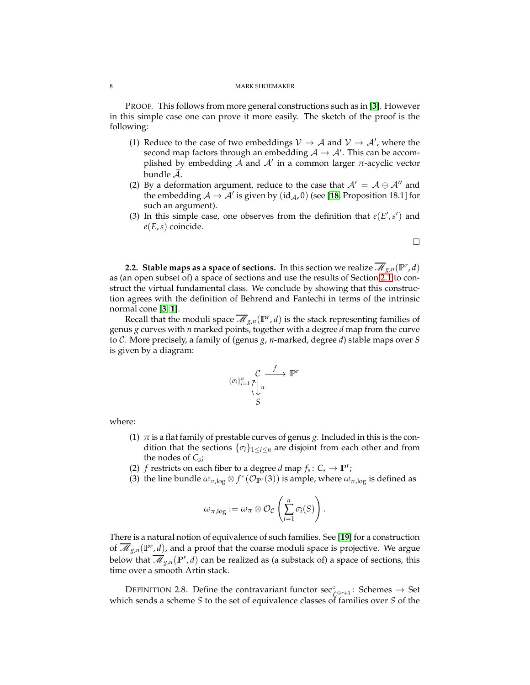PROOF. This follows from more general constructions such as in [**[3](#page-26-2)**]. However in this simple case one can prove it more easily. The sketch of the proof is the following:

- (1) Reduce to the case of two embeddings  $V \rightarrow A$  and  $V \rightarrow A'$ , where the second map factors through an embedding  $\mathcal{A} \to \mathcal{A}'$ . This can be accomplished by embedding A and A′ in a common larger *π*-acyclic vector bundle  $A$ .
- (2) By a deformation argument, reduce to the case that  $A' = A \oplus A''$  and the embedding  $\mathcal{A} \to \mathcal{A}'$  is given by  $(\mathrm{id}_{\mathcal{A}}, 0)$  (see [**[18](#page-26-10)**, Proposition 18.1] for such an argument).
- (3) In this simple case, one observes from the definition that  $e(E', s')$  and *e*(*E*,*s*) coincide.

$$
\Box
$$

<span id="page-7-0"></span>**2.2. Stable maps as a space of sections.** In this section we realize  $\overline{\mathcal{M}}_{g,n}(\mathbb{P}^r, d)$ as (an open subset of) a space of sections and use the results of Section [2.1](#page-5-1) to construct the virtual fundamental class. We conclude by showing that this construction agrees with the definition of Behrend and Fantechi in terms of the intrinsic normal cone [**[3,](#page-26-2) [1](#page-26-14)**].

Recall that the moduli space  $\overline{\mathcal{M}}_{g,n}(\mathbb{P}^r, d)$  is the stack representing families of genus *g* curves with *n* marked points, together with a degree *d* map from the curve to C. More precisely, a family of (genus *g*, *n*-marked, degree *d*) stable maps over *S* is given by a diagram:



where:

- (1)  $\pi$  is a flat family of prestable curves of genus *g*. Included in this is the condition that the sections  $\{\sigma_i\}_{1 \leq i \leq n}$  are disjoint from each other and from the nodes of *Cs*;
- <span id="page-7-1"></span>(2) *f* restricts on each fiber to a degree *d* map  $f_s: C_s \to \mathbb{P}^r$ ;
- (3) the line bundle  $\omega_{\pi,\log}\otimes f^*(\mathcal{O}_{\mathbb{P}^r}(3))$  is ample, where  $\omega_{\pi,\log}$  is defined as

$$
\omega_{\pi,\log}:=\omega_{\pi}\otimes \mathcal{O}_{\mathcal{C}}\left(\sum_{i=1}^n \sigma_i(S)\right).
$$

There is a natural notion of equivalence of such families. See [**[19](#page-26-15)**] for a construction of  $\overline{\mathcal{M}}_{g,n}(\mathbb{P}^r, d)$ , and a proof that the coarse moduli space is projective. We argue below that  $\overline{\mathscr{M}}_{g,n}(\mathbb{P}^r,d)$  can be realized as (a substack of) a space of sections, this time over a smooth Artin stack.

<span id="page-7-2"></span>DEFINITION 2.8. Define the contravariant functor  $\sec_{\mathcal{L}^{\oplus r+1}}^{\circ}$ : Schemes  $\rightarrow$  Set which sends a scheme *S* to the set of equivalence classes of families over *S* of the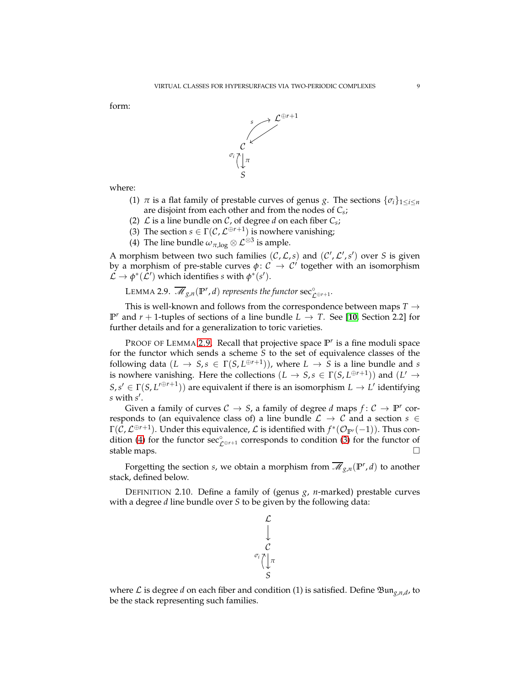form:



where:

- (1)  $\pi$  is a flat family of prestable curves of genus *g*. The sections  $\{\sigma_i\}_{1 \leq i \leq n}$ are disjoint from each other and from the nodes of *Cs*;
- (2)  $\mathcal L$  is a line bundle on  $\mathcal C$ , of degree *d* on each fiber  $C_s$ ;
- <span id="page-8-1"></span>(3) The section  $s \in \Gamma(\mathcal{C}, \mathcal{L}^{\oplus r+1})$  is nowhere vanishing;
- (4) The line bundle  $\omega_{\pi,\log}\otimes \mathcal{L}^{\otimes 3}$  is ample.

A morphism between two such families  $(C, \mathcal{L}, s)$  and  $(C', \mathcal{L}', s')$  over *S* is given by a morphism of pre-stable curves  $\phi: \mathcal{C} \to \mathcal{C}'$  together with an isomorphism  $\mathcal{L} \to \phi^*(\mathcal{L}')$  which identifies *s* with  $\phi^*(s')$ .

<span id="page-8-0"></span>LEMMA 2.9.  $\overline{\mathscr{M}}_{g,n}(\mathbb{P}^r, d)$  *represents the functor*  $\sec_{\mathcal{L}^{\oplus r+1}}^{\circ}$ .

This is well-known and follows from the correspondence between maps  $T \rightarrow$ **P**<sup>*r*</sup> and *r* + 1-tuples of sections of a line bundle  $L \rightarrow T$ . See [[10](#page-26-16), Section 2.2] for further details and for a generalization to toric varieties.

PROOF OF LEMMA [2.9.](#page-8-0) Recall that projective space  $\mathbb{P}^r$  is a fine moduli space for the functor which sends a scheme *S* to the set of equivalence classes of the following data  $(L \to S, s \in \Gamma(S, L^{\oplus r+1}))$ , where  $L \to S$  is a line bundle and *s* is nowhere vanishing. Here the collections  $(L \to S, s \in \Gamma(S, L^{\oplus r+1}))$  and  $(L' \to S, s \in \Gamma(S, L^{\oplus r+1}))$  $S, s' \in \Gamma(S, L'^{\oplus r+1})$  are equivalent if there is an isomorphism  $L \to L'$  identifying *s* with *s* ′ .

Given a family of curves  $C \rightarrow S$ , a family of degree *d* maps  $f: C \rightarrow \mathbb{P}^r$  corresponds to (an equivalence class of) a line bundle  $\mathcal{L} \to \mathcal{C}$  and a section  $s \in$  $\Gamma(\mathcal{C},\mathcal{L}^{\oplus r+1})$ . Under this equivalence,  $\mathcal{L}$  is identified with  $f^*(\mathcal{O}_{{\mathbb P}^r}(-1))$ . Thus con-dition [\(4\)](#page-8-1) for the functor  $\sec^{\circ}_{\mathcal{L}^{\oplus r+1}}$  corresponds to condition [\(3\)](#page-7-1) for the functor of stable maps.

Forgetting the section *s*, we obtain a morphism from  $\overline{\mathscr{M}}_{g,n}(\mathbb{P}^r,d)$  to another stack, defined below.

DEFINITION 2.10. Define a family of (genus *g*, *n*-marked) prestable curves with a degree *d* line bundle over *S* to be given by the following data:



where  $\mathcal L$  is degree *d* on each fiber and condition (1) is satisfied. Define  $\mathfrak{Bun}_{g,n,d}$ , to be the stack representing such families.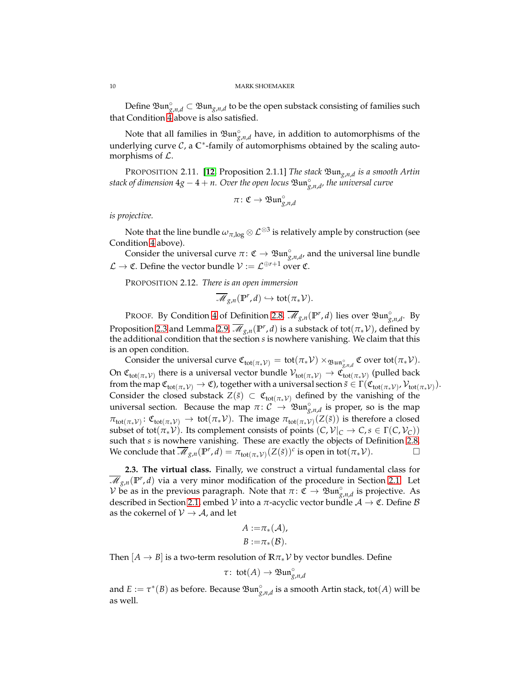Define  $\mathfrak{Bun}_{g,n,d}^{\circ} \subset \mathfrak{Bun}_{g,n,d}$  to be the open substack consisting of families such that Condition [4](#page-8-1) above is also satisfied.

Note that all families in  $\mathfrak{Bun}^{\circ}_{g,n,d}$  have, in addition to automorphisms of the underlying curve  $C$ , a  $\mathbb{C}^*$ -family of automorphisms obtained by the scaling automorphisms of  $\mathcal{L}$ .

PROPOSITION 2.11. [**[12](#page-26-17)**, Proposition 2.1.1] *The stack* Bun*g*,*n*,*<sup>d</sup> is a smooth Artin stack of dimension* 4*g* − 4 + *n. Over the open locus* Bun◦ *g*,*n*,*d , the universal curve*

$$
\pi\colon \mathfrak{C}\to \mathfrak{Bun}^\circ_{g,n,d}
$$

*is projective.*

Note that the line bundle  $\omega_{\pi,\log}\otimes {\mathcal L}^{\otimes 3}$  is relatively ample by construction (see Condition [4](#page-8-1) above).

Consider the universal curve  $\pi: \mathfrak{C} \to \mathfrak{Bun}_{g,n,d}^{\circ}$ , and the universal line bundle  $\mathcal{L} \to \mathfrak{C}$ . Define the vector bundle  $\mathcal{V} := \mathcal{L}^{\oplus r+1}$  over  $\mathfrak{C}$ .

<span id="page-9-1"></span>PROPOSITION 2.12. *There is an open immersion*

$$
\overline{\mathscr{M}}_{g,n}(\mathbb{P}^r,d)\hookrightarrow \text{tot}(\pi_*\mathcal{V}).
$$

PROOF. By Condition [4](#page-8-1) of Definition [2.8,](#page-7-2)  $\overline{\mathscr{M}}_{g,n}(\mathbb{P}^r, d)$  lies over  $\mathfrak{Bun}^{\circ}_{g,n,d}$ . By Proposition [2.3](#page-5-2) and Lemma [2.9,](#page-8-0)  $\overline{\mathscr{M}}_{g,n}({\mathbb P}^r,d)$  is a substack of tot $(\pi_*\mathcal{V})$ , defined by the additional condition that the section *s* is nowhere vanishing. We claim that this is an open condition.

Consider the universal curve  $\mathfrak{C}_{\text{tot}(\pi_*\mathcal{V})} = \text{tot}(\pi_*\mathcal{V}) \times_{\mathfrak{Bun}^{\circ}_{g,n,d}} \mathfrak{C}$  over tot $(\pi_*\mathcal{V})$ . On  $\mathfrak{C}_{tot(\pi_*\mathcal{V})}$  there is a universal vector bundle  $\mathcal{V}_{tot(\pi_*\mathcal{V})}\to \mathfrak{C}_{tot(\pi_*\mathcal{V})}$  (pulled back  ${\rm from\,the\,map}\,\mathfrak{C}_{{\rm tot}(\pi_*\mathcal{V})}\to \mathfrak{C}$ ), together with a universal section  $\tilde s\in \Gamma(\mathfrak{C}_{{\rm tot}(\pi_*\mathcal{V})},\mathcal{V}_{{\rm tot}(\pi_*\mathcal{V})}).$ Consider the closed substack  $Z(\tilde{s}) \subset \mathfrak{C}_{tot(\pi_*\mathcal{V})}$  defined by the vanishing of the universal section. Because the map  $\pi: C \to \mathfrak{Bun}_{g,n,d}^{\circ}$  is proper, so is the map  $\pi_{\text{tot}(\pi_*\mathcal{V})} : \mathfrak{C}_{\text{tot}(\pi_*\mathcal{V})} \to \text{tot}(\pi_*\mathcal{V})$ . The image  $\pi_{\text{tot}(\pi_*\mathcal{V})}(Z(\tilde{s}))$  is therefore a closed subset of tot( $\pi_* \mathcal{V}$ ). Its complement consists of points  $(C, \mathcal{V}|_C \to C, s \in \Gamma(C, \mathcal{V}_C))$ such that *s* is nowhere vanishing. These are exactly the objects of Definition [2.8.](#page-7-2) We conclude that  $\overline{\mathcal{M}}_{g,n}(\mathbb{P}^r, d) = \pi_{tot(\pi_*\mathcal{V})}(Z(\tilde{s}))^c$  is open in tot $(\pi_*\mathcal{V})$ .

<span id="page-9-0"></span>**2.3. The virtual class.** Finally, we construct a virtual fundamental class for  $\overline{\mathscr{M}}_{g,n}(\mathbb{P}^r, d)$  via a very minor modification of the procedure in Section [2.1.](#page-4-1) Let  $V$  be as in the previous paragraph. Note that  $\pi: \mathfrak{C} \to \mathfrak{Bun}_{g,n,d}^{\circ}$  is projective. As described in Section [2.1,](#page-4-1) embed  $\mathcal V$  into a  $\pi$ -acyclic vector bundle  $\mathcal A\to \mathfrak C$ . Define  $\mathcal B$ as the cokernel of  $V \rightarrow A$ , and let

$$
A := \pi_*(A),
$$
  

$$
B := \pi_*(B).
$$

Then  $[A \rightarrow B]$  is a two-term resolution of  $\mathbb{R} \pi_* \mathcal{V}$  by vector bundles. Define

$$
\tau: \, \text{tot}(A) \to \mathfrak{Bun}_{g,n,d}^{\circ}
$$

and  $E := \tau^*(B)$  as before. Because  $\mathfrak{Bun}^{\circ}_{g,n,d}$  is a smooth Artin stack, tot $(A)$  will be as well.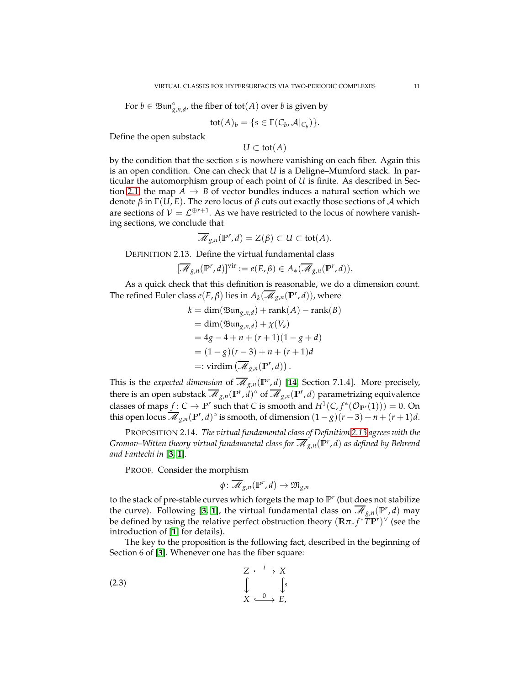For  $b \in \mathfrak{Bun}_{g,n,d}^{\circ}$ , the fiber of tot $(A)$  over  $b$  is given by

$$
tot(A)_b = \{ s \in \Gamma(C_b, \mathcal{A}|_{C_b}) \}.
$$

Define the open substack

*U* ⊂ tot(*A*)

by the condition that the section *s* is nowhere vanishing on each fiber. Again this is an open condition. One can check that *U* is a Deligne–Mumford stack. In particular the automorphism group of each point of *U* is finite. As described in Sec-tion [2.1,](#page-4-1) the map  $A \rightarrow B$  of vector bundles induces a natural section which we denote *β* in  $\Gamma(U, E)$ . The zero locus of *β* cuts out exactly those sections of *A* which are sections of  $V = \mathcal{L}^{\oplus r+1}$ . As we have restricted to the locus of nowhere vanishing sections, we conclude that

$$
\overline{\mathcal{M}}_{g,n}(\mathbb{P}^r,d)=Z(\beta)\subset U\subset\operatorname{tot}(A).
$$

<span id="page-10-0"></span>DEFINITION 2.13. Define the virtual fundamental class

$$
[\overline{\mathcal{M}}_{g,n}(\mathbb{P}^r,d)]^{\text{vir}} := e(E,\beta) \in A_*(\overline{\mathcal{M}}_{g,n}(\mathbb{P}^r,d)).
$$

As a quick check that this definition is reasonable, we do a dimension count. The refined Euler class  $e(E, \beta)$  lies in  $A_k(\overline{\mathscr{M}}_{g,n}(\mathbb{P}^r, d))$ , where

$$
k = \dim(\mathfrak{Bun}_{g,n,d}) + \operatorname{rank}(A) - \operatorname{rank}(B)
$$
  
= 
$$
\dim(\mathfrak{Bun}_{g,n,d}) + \chi(V_s)
$$
  
= 
$$
4g - 4 + n + (r + 1)(1 - g + d)
$$
  
= 
$$
(1 - g)(r - 3) + n + (r + 1)d
$$
  
=: 
$$
\operatorname{virdim}(\overline{\mathcal{M}}_{g,n}(\mathbb{P}^r, d)).
$$

This is the *expected dimension* of  $\overline{\mathcal{M}}_{g,n}(\mathbb{P}^r,d)$  [[14](#page-26-18), Section 7.1.4]. More precisely, there is an open substack  $\overline{\mathscr{M}}_{g,n}(\mathbb{P}^r, d)$ <sup>o</sup> of  $\overline{\mathscr{M}}_{g,n}(\mathbb{P}^r, d)$  parametrizing equivalence classes of maps  $f: C \to \mathbb{P}^r$  such that *C* is smooth and  $H^1(C, f^*(\mathcal{O}_{\mathbb{P}^r}(1))) = 0$ . On this open locus  $\overline{\mathcal{M}}_{g,n}(\mathbb{P}^r, d)^\circ$  is smooth, of dimension  $(1-g)(r-3)+n+(r+1)d$ .

PROPOSITION 2.14. *The virtual fundamental class of Definition [2.13](#page-10-0) agrees with the Gromov–Witten theory virtual fundamental class for*  $\overline{\mathscr{M}}_{g,n}({\mathbb P}^r,d)$  *as defined by Behrend and Fantechi in* [**[3,](#page-26-2) [1](#page-26-14)**]*.*

PROOF. Consider the morphism

<span id="page-10-1"></span>
$$
\phi\colon \overline{\mathscr{M}}_{g,n}(\mathbb{P}^r,d)\to \mathfrak{M}_{g,n}
$$

to the stack of pre-stable curves which forgets the map to  $\mathbb{P}^r$  (but does not stabilize the curve). Following [[3,](#page-26-2) [1](#page-26-14)], the virtual fundamental class on  $\overline{\mathcal{M}}_{g,n}(\mathbb{P}^r, d)$  may be defined by using the relative perfect obstruction theory (**R***π*<sup>∗</sup> *f* <sup>∗</sup>*T***P** *r* ) <sup>∨</sup> (see the introduction of [**[1](#page-26-14)**] for details).

The key to the proposition is the following fact, described in the beginning of Section 6 of [**[3](#page-26-2)**]. Whenever one has the fiber square:

$$
\begin{array}{ccc}\nZ & \xrightarrow{i} & X \\
\downarrow & & \downarrow \\
X & \xrightarrow{0} & E\n\end{array}
$$
\n(2.3)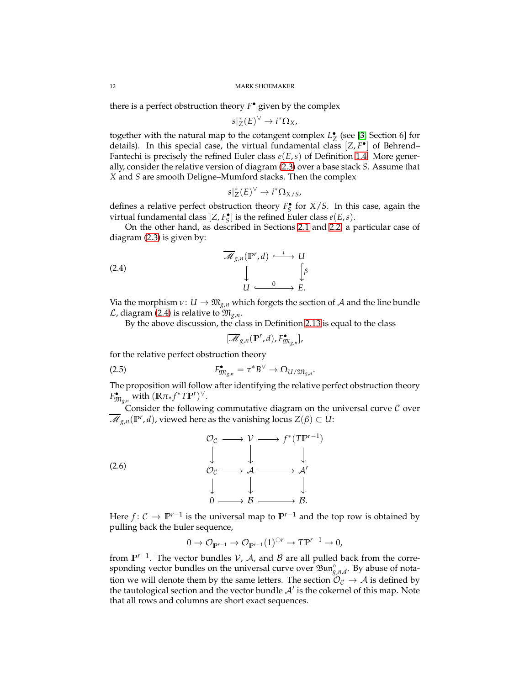there is a perfect obstruction theory *F* • given by the complex

$$
s|_{Z}^{*}(E)^{\vee} \to i^{*}\Omega_{X},
$$

together with the natural map to the cotangent complex  $L_Z^{\bullet}$  (see [[3](#page-26-2), Section 6] for details). In this special case, the virtual fundamental class [*Z*, *F* • ] of Behrend– Fantechi is precisely the refined Euler class *e*(*E*,*s*) of Definition [1.4.](#page-4-2) More generally, consider the relative version of diagram [\(2.3\)](#page-10-1) over a base stack *S*. Assume that *X* and *S* are smooth Deligne–Mumford stacks. Then the complex

$$
s|_{Z}^{*}(E)^{\vee} \to i^{*}\Omega_{X/S},
$$

defines a relative perfect obstruction theory  $F_S^{\bullet}$  for *X*/*S*. In this case, again the virtual fundamental class  $[Z, F_S^{\bullet}]$  is the refined Euler class  $e(E, s)$ .

On the other hand, as described in Sections [2.1](#page-4-1) and [2.2,](#page-7-0) a particular case of diagram [\(2.3\)](#page-10-1) is given by:

(2.4)  

$$
\overline{\mathcal{M}}_{g,n}(\mathbb{P}^r, d) \xrightarrow{\qquad i \qquad} U
$$

$$
\downarrow \qquad \qquad \downarrow \qquad \downarrow \qquad \downarrow
$$

$$
U \xrightarrow{\qquad \qquad 0 \qquad \qquad} E.
$$

Via the morphism  $v: U \to \mathfrak{M}_{g,n}$  which forgets the section of A and the line bundle  $\mathcal{L}$ , diagram [\(2.4\)](#page-11-0) is relative to  $\mathfrak{M}_{g,n}$ .

By the above discussion, the class in Definition [2.13](#page-10-0) is equal to the class

<span id="page-11-0"></span>
$$
[\overline{\mathcal{M}}_{g,n}(\mathbb{P}^r,d),F^\bullet_{\mathfrak{M}_{g,n}}],
$$

for the relative perfect obstruction theory

<span id="page-11-1"></span>
$$
F_{\mathfrak{M}_{g,n}}^{\bullet} = \tau^* B^{\vee} \to \Omega_{U/\mathfrak{M}_{g,n}}.
$$

The proposition will follow after identifying the relative perfect obstruction theory  $F_{\mathfrak{M}_{g,n}}^{\bullet}$  with  $(\mathbb{R}\pi_* f^* T \mathbb{P}^r)^{\vee}$ .

Consider the following commutative diagram on the universal curve  $C$  over  $\overline{\mathscr{M}}_{g,n}(\mathbb{P}^r,d)$ , viewed here as the vanishing locus  $Z(\beta)\subset U$ :



Here  $f: \mathcal{C} \to \mathbb{P}^{r-1}$  is the universal map to  $\mathbb{P}^{r-1}$  and the top row is obtained by pulling back the Euler sequence,

<span id="page-11-2"></span>
$$
0 \to \mathcal{O}_{\mathbb{P}^{r-1}} \to \mathcal{O}_{\mathbb{P}^{r-1}}(1)^{\oplus r} \to T\mathbb{P}^{r-1} \to 0,
$$

from  $\mathbb{P}^{r-1}$ . The vector bundles  $\mathcal{V}$ ,  $\mathcal{A}$ , and  $\mathcal{B}$  are all pulled back from the corresponding vector bundles on the universal curve over <sup>*\$*3 m<sub>*g,n,d*</sub>. By abuse of nota-</sup> tion we will denote them by the same letters. The section  $\mathcal{O}_{\mathcal{C}} \to \mathcal{A}$  is defined by the tautological section and the vector bundle  $A'$  is the cokernel of this map. Note that all rows and columns are short exact sequences.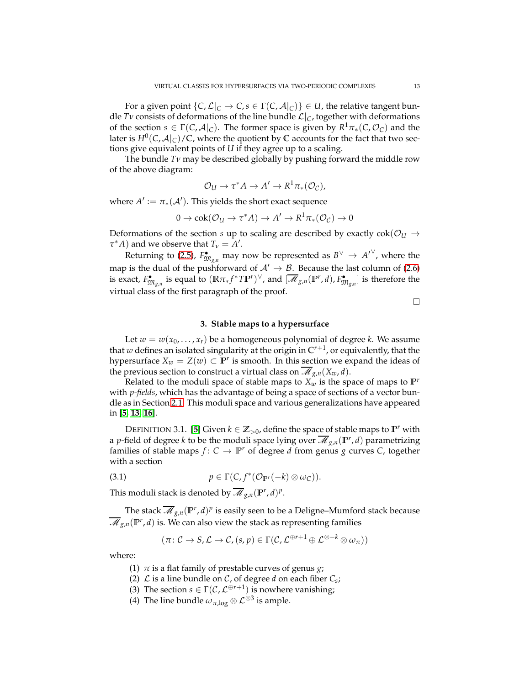For a given point  $\{C, \mathcal{L}|_C \to C, s \in \Gamma(C, \mathcal{A}|_C)\} \in U$ , the relative tangent bundle *Tν* consists of deformations of the line bundle  $\mathcal{L}|_C$ , together with deformations of the section  $s \in \Gamma(C, \mathcal{A}|_C)$ . The former space is given by  $R^1 \pi_*(C, \mathcal{O}_C)$  and the later is  $H^0(C, \mathcal{A}|_C)/\mathbb{C}$ , where the quotient by  $\mathbb C$  accounts for the fact that two sections give equivalent points of *U* if they agree up to a scaling.

The bundle *Tν* may be described globally by pushing forward the middle row of the above diagram:

$$
\mathcal{O}_U \to \tau^* A \to A' \to R^1 \pi_*(\mathcal{O}_{\mathcal{C}}),
$$

where  $A' := \pi_*(A')$ . This yields the short exact sequence

$$
0 \to \mathrm{cok}(\mathcal{O}_U \to \tau^*A) \to A' \to R^1\pi_*(\mathcal{O}_{\mathcal{C}}) \to 0
$$

Deformations of the section *s* up to scaling are described by exactly  $cok(\mathcal{O}_U \rightarrow$  $\tau^* A$ ) and we observe that  $T_\nu = A'$ .

Returning to [\(2.5\)](#page-11-1),  $F_{\mathfrak{M}_{g,n}}^{\bullet}$  may now be represented as  $B^{\vee} \rightarrow {A'}^{\vee}$ , where the map is the dual of the pushforward of  $A' \rightarrow B$ . Because the last column of [\(2.6\)](#page-11-2) is exact,  $F_{\mathfrak{M}_{g,n}}^{\bullet}$  is equal to  $(\mathbb{R}\pi_*f^*T\mathbb{P}^r)^{\vee}$ , and  $[\overline{\mathscr{M}}_{g,n}(\mathbb{P}^r,d), F_{\mathfrak{M}_{g,n}}^{\bullet}]$  is therefore the virtual class of the first paragraph of the proof.

 $\Box$ 

## **3. Stable maps to a hypersurface**

<span id="page-12-0"></span>Let  $w = w(x_0, \ldots, x_r)$  be a homogeneous polynomial of degree *k*. We assume that *w* defines an isolated singularity at the origin in **C** *r*+1 , or equivalently, that the hypersurface  $X_w = Z(w) \subset \mathbb{P}^r$  is smooth. In this section we expand the ideas of the previous section to construct a virtual class on  $\overline{\mathcal{M}}_{g,n}(X_w, d)$ .

Related to the moduli space of stable maps to  $X_w$  is the space of maps to  $\mathbb{P}^r$ with *p-fields*, which has the advantage of being a space of sections of a vector bundle as in Section [2.1.](#page-4-1) This moduli space and various generalizations have appeared in [**[5,](#page-26-13) [13,](#page-26-19) [16](#page-26-9)**].

DEFINITION 3.1. [[5](#page-26-13)] Given  $k \in \mathbb{Z}_{>0}$ , define the space of stable maps to  $\mathbb{P}^r$  with a *p*-field of degree *k* to be the moduli space lying over  $\overline{\mathscr{M}}_{g,n}({\mathbb P}^r,d)$  parametrizing families of stable maps  $f: C \to \mathbb{P}^r$  of degree *d* from genus *g* curves *C*, together with a section

(3.1) 
$$
p \in \Gamma(C, f^*(\mathcal{O}_{\mathbb{P}^r}(-k) \otimes \omega_C)).
$$

This moduli stack is denoted by  $\overline{\mathscr{M}}_{g,n}(\mathbb{P}^r,d)^p$ .

The stack  $\overline{\mathscr{M}}_{g,n}(\mathbb{P}^r,d)^p$  is easily seen to be a Deligne–Mumford stack because  $\overline{\mathscr{M}}_{g,n}(\mathbb{P}^r, d)$  is. We can also view the stack as representing families

$$
(\pi\colon \mathcal{C}\to \mathsf{S},\mathcal{L}\to \mathcal{C},(s,p)\in \Gamma(\mathcal{C},\mathcal{L}^{\oplus r+1}\oplus \mathcal{L}^{\otimes -k}\otimes \omega_{\pi}))
$$

where:

- (1) *π* is a flat family of prestable curves of genus *g*;
- (2)  $\mathcal L$  is a line bundle on  $\mathcal C$ , of degree *d* on each fiber  $C_s$ ;
- (3) The section  $s \in \Gamma(\mathcal{C}, \mathcal{L}^{\oplus r+1})$  is nowhere vanishing;
- (4) The line bundle  $\omega_{\pi,\log}\otimes \mathcal{L}^{\otimes 3}$  is ample.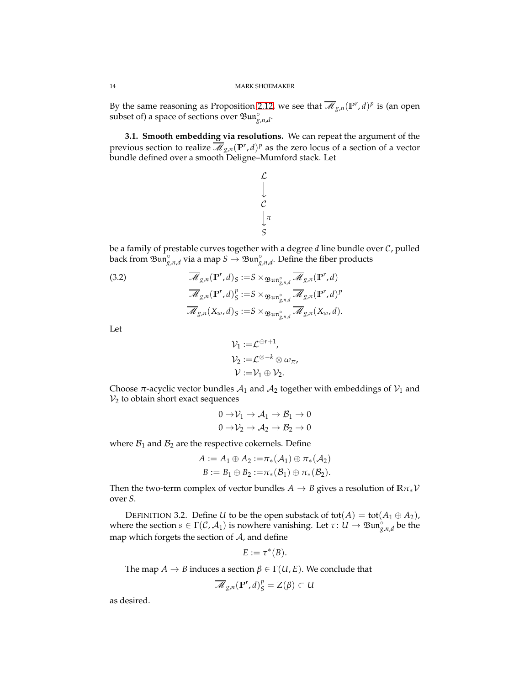By the same reasoning as Proposition [2.12,](#page-9-1) we see that  $\overline{\mathcal{M}}_{g,n}(\mathbb{P}^r,d)^p$  is (an open subset of) a space of sections over  $\mathfrak{Bun}^{\circ}_{g,n,d}$ .

**3.1. Smooth embedding via resolutions.** We can repeat the argument of the previous section to realize  $\overline{\mathcal{M}}_{g,n}(\mathbb{P}^r, d)^p$  as the zero locus of a section of a vector bundle defined over a smooth Deligne–Mumford stack. Let

> $\mathcal{L}$  $\mathcal{C}_{0}^{0}$ *S π*

be a family of prestable curves together with a degree *d* line bundle over C, pulled back from  $\mathfrak{Bun}_{g,n,d}^{\circ}$  via a map  $S \to \mathfrak{Bun}_{g,n,d}^{\circ}$ . Define the fiber products

(3.2) 
$$
\overline{\mathcal{M}}_{g,n}(\mathbb{P}^r, d)_S := S \times_{\mathfrak{Bun}^{\circ}_{g,n,d}} \overline{\mathcal{M}}_{g,n}(\mathbb{P}^r, d)
$$

$$
\overline{\mathcal{M}}_{g,n}(\mathbb{P}^r, d)_S^p := S \times_{\mathfrak{Bun}^{\circ}_{g,n,d}} \overline{\mathcal{M}}_{g,n}(\mathbb{P}^r, d)^p
$$

$$
\overline{\mathcal{M}}_{g,n}(X_w, d)_S := S \times_{\mathfrak{Bun}^{\circ}_{g,n,d}} \overline{\mathcal{M}}_{g,n}(X_w, d).
$$

Let

$$
\begin{aligned} \mathcal{V}_1 := & \mathcal{L}^{\oplus r+1}, \\ \mathcal{V}_2 := & \mathcal{L}^{\otimes -k} \otimes \omega_{\pi}, \\ \mathcal{V} := & \mathcal{V}_1 \oplus \mathcal{V}_2. \end{aligned}
$$

Choose  $\pi$ -acyclic vector bundles  $A_1$  and  $A_2$  together with embeddings of  $V_1$  and  $V_2$  to obtain short exact sequences

$$
0 \to \mathcal{V}_1 \to \mathcal{A}_1 \to \mathcal{B}_1 \to 0
$$
  

$$
0 \to \mathcal{V}_2 \to \mathcal{A}_2 \to \mathcal{B}_2 \to 0
$$

where  $B_1$  and  $B_2$  are the respective cokernels. Define

$$
A := A_1 \oplus A_2 := \pi_*(A_1) \oplus \pi_*(A_2)
$$
  

$$
B := B_1 \oplus B_2 := \pi_*(B_1) \oplus \pi_*(B_2).
$$

Then the two-term complex of vector bundles  $A \rightarrow B$  gives a resolution of  $\mathbb{R} \pi_* \mathcal{V}$ over *S*.

<span id="page-13-0"></span>DEFINITION 3.2. Define *U* to be the open substack of tot( $A$ ) = tot( $A_1 \oplus A_2$ ), where the section  $s \in \Gamma(\mathcal{C}, \mathcal{A}_1)$  is nowhere vanishing. Let  $\tau: U \to \mathfrak{Bun}^{\circ}_{g,n,d}$  be the map which forgets the section of  $A$ , and define

$$
E:=\tau^*(B).
$$

The map  $A \to B$  induces a section  $\beta \in \Gamma(U, E)$ . We conclude that

$$
\overline{\mathscr{M}}_{g,n}(\mathbb{P}^r,d)^p_{S}=Z(\beta)\subset U
$$

as desired.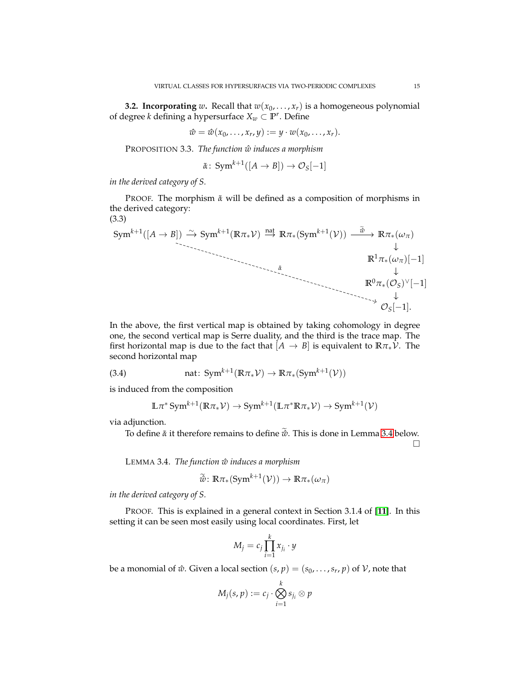<span id="page-14-3"></span>**3.2. Incorporating** *w*. Recall that  $w(x_0, \ldots, x_r)$  is a homogeneous polynomial of degree *k* defining a hypersurface *X<sup>w</sup>* ⊂ **P** *r* . Define

 $\hat{w} = \hat{w}(x_0, \ldots, x_r, y) := y \cdot w(x_0, \ldots, x_r).$ 

<span id="page-14-4"></span>PROPOSITION 3.3. *The function*  $\hat{w}$  *induces a morphism* 

$$
\tilde{\alpha} \colon \mathrm{Sym}^{k+1}([A \to B]) \to \mathcal{O}_S[-1]
$$

*in the derived category of S.*

PROOF. The morphism  $\tilde{α}$  will be defined as a composition of morphisms in the derived category: (3.3)

<span id="page-14-2"></span>
$$
\text{Sym}^{k+1}([A \to B]) \xrightarrow{\sim} \text{Sym}^{k+1}(\mathbb{R}\pi_*\mathcal{V}) \xrightarrow{\text{nat}} \mathbb{R}\pi_*(\text{Sym}^{k+1}(\mathcal{V})) \xrightarrow{\tilde{\psi}} \mathbb{R}\pi_*(\omega_{\pi})
$$
\n
$$
\downarrow \qquad \qquad \mathbb{R}^1 \pi_*(\omega_{\pi})[-1]
$$
\n
$$
\downarrow \qquad \qquad \downarrow \qquad \qquad \downarrow
$$
\n
$$
\mathbb{R}^0 \pi_*(\mathcal{O}_S)^{\vee}[-1]
$$
\n
$$
\downarrow \qquad \qquad \downarrow
$$
\n
$$
\mathcal{O}_S[-1].
$$

In the above, the first vertical map is obtained by taking cohomology in degree one, the second vertical map is Serre duality, and the third is the trace map. The first horizontal map is due to the fact that  $[A \rightarrow B]$  is equivalent to  $\mathbb{R} \pi_* \mathcal{V}$ . The second horizontal map

(3.4) 
$$
\text{nat: } \text{Sym}^{k+1}(\mathbb{R}\pi_*\mathcal{V}) \to \mathbb{R}\pi_*(\text{Sym}^{k+1}(\mathcal{V}))
$$

is induced from the composition

<span id="page-14-1"></span>
$$
\mathbb{L}\pi^* \operatorname{Sym}^{k+1}(\mathbb{R}\pi_*\mathcal{V}) \to \operatorname{Sym}^{k+1}(\mathbb{L}\pi^*\mathbb{R}\pi_*\mathcal{V}) \to \operatorname{Sym}^{k+1}(\mathcal{V})
$$

via adjunction.

To define  $\tilde{\alpha}$  it therefore remains to define  $\tilde{\omega}$ . This is done in Lemma [3.4](#page-14-0) below.

 $\Box$ 

<span id="page-14-0"></span>LEMMA 3.4. *The function w induces a morphism* ˆ

$$
\widetilde{\hat{w}}\colon \mathbb{R}\pi_*(\mathrm{Sym}^{k+1}(\mathcal{V})) \to \mathbb{R}\pi_*(\omega_\pi)
$$

*in the derived category of S.*

PROOF. This is explained in a general context in Section 3.1.4 of [**[11](#page-26-5)**]. In this setting it can be seen most easily using local coordinates. First, let

$$
M_j = c_j \prod_{i=1}^k x_{j_i} \cdot y
$$

be a monomial of  $\hat{w}$ . Given a local section  $(s, p) = (s_0, \ldots, s_r, p)$  of  $\hat{V}$ , note that

$$
M_j(s,p) := c_j \cdot \bigotimes_{i=1}^k s_{j_i} \otimes p
$$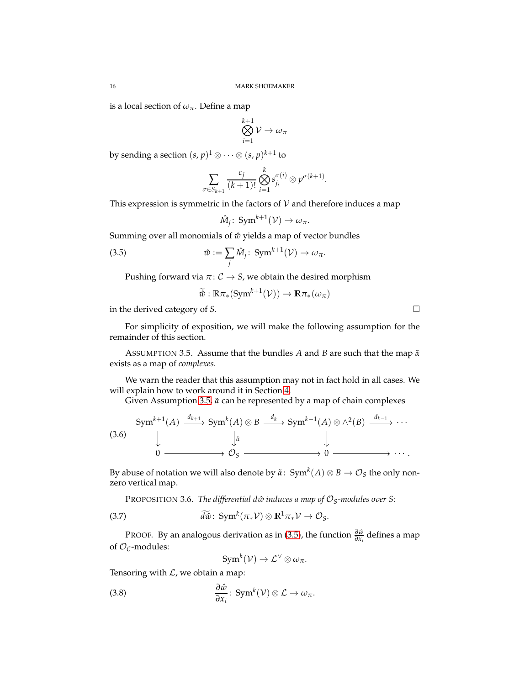is a local section of  $\omega_{\pi}$ . Define a map

$$
\bigotimes_{i=1}^{k+1} \mathcal{V} \to \omega_{\pi}
$$

by sending a section  $(s, p)^1 \otimes \cdots \otimes (s, p)^{k+1}$  to

$$
\sum_{\sigma \in S_{k+1}} \frac{c_j}{(k+1)!} \bigotimes_{i=1}^k s_j^{\sigma(i)} \otimes p^{\sigma(k+1)}.
$$

This expression is symmetric in the factors of  $V$  and therefore induces a map

<span id="page-15-1"></span>
$$
\hat{M}_j\colon \operatorname{Sym}^{k+1}(\mathcal{V}) \to \omega_{\pi}.
$$

Summing over all monomials of  $\hat{w}$  yields a map of vector bundles

(3.5) 
$$
\hat{w} := \sum_{j} \hat{M}_{j}: \text{Sym}^{k+1}(\mathcal{V}) \to \omega_{\pi}.
$$

Pushing forward via  $\pi: \mathcal{C} \rightarrow S$ , we obtain the desired morphism

$$
\widetilde{\hat{w}} : \mathbb{R}\pi_*(\mathrm{Sym}^{k+1}(\mathcal{V})) \to \mathbb{R}\pi_*(\omega_\pi)
$$

in the derived category of *S*.

For simplicity of exposition, we will make the following assumption for the remainder of this section.

<span id="page-15-0"></span>ASSUMPTION 3.5. Assume that the bundles *A* and *B* are such that the map *α*˜ exists as a map of *complexes*.

We warn the reader that this assumption may not in fact hold in all cases. We will explain how to work around it in Section [4.](#page-21-0)

Given Assumption [3.5,](#page-15-0)  $\tilde{α}$  can be represented by a map of chain complexes

<span id="page-15-2"></span>(3.6) 
$$
\begin{array}{ccc}\n\text{Sym}^{k+1}(A) & \xrightarrow{d_{k+1}} \text{Sym}^k(A) \otimes B & \xrightarrow{d_k} \text{Sym}^{k-1}(A) \otimes \wedge^2(B) & \xrightarrow{d_{k-1}} \cdots \\
& \downarrow & \downarrow & \downarrow \\
0 & \xrightarrow{\qquad \qquad \downarrow \otimes & \qquad \qquad \downarrow \\
& 0 & \xrightarrow{\qquad \qquad \downarrow \otimes & \qquad \qquad \downarrow} \\
& & \downarrow & \qquad \qquad \downarrow \qquad \qquad \downarrow\n\end{array}
$$

By abuse of notation we will also denote by  $\tilde{\alpha}$ : Sym $^k(A)\otimes B\to \mathcal{O}_S$  the only nonzero vertical map.

PROPOSITION 3.6. *The differential d* $\hat{w}$  induces a map of  $\mathcal{O}_S$ *-modules over S:* 

(3.7) 
$$
\widetilde{d\hat{w}}\colon \operatorname{Sym}^k(\pi_*\mathcal{V})\otimes \mathbb{R}^1\pi_*\mathcal{V}\to \mathcal{O}_S.
$$

PROOF. By an analogous derivation as in [\(3.5\)](#page-15-1), the function  $\frac{\partial \hat{w}}{\partial x_i}$  defines a map of  $\mathcal{O}_{\mathcal{C}}$ -modules:

$$
Sym^k(V) \to \mathcal{L}^{\vee} \otimes \omega_{\pi}.
$$

Tensoring with  $\mathcal{L}$ , we obtain a map:

(3.8) 
$$
\frac{\partial \hat{w}}{\partial x_i} : \text{Sym}^k(\mathcal{V}) \otimes \mathcal{L} \to \omega_{\pi}.
$$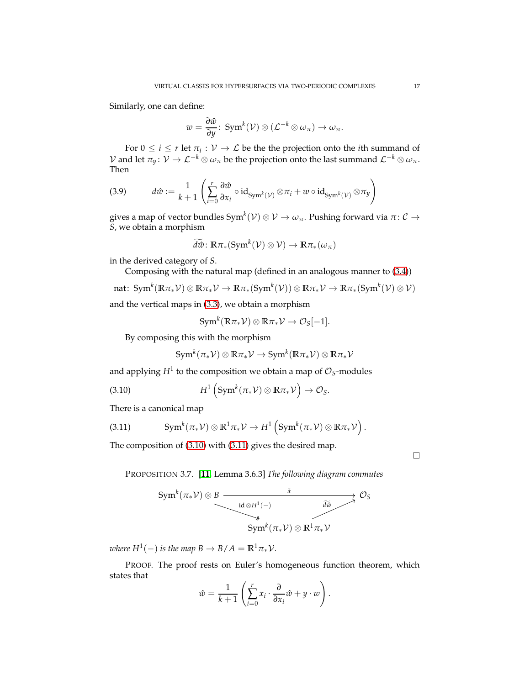Similarly, one can define:

$$
w=\frac{\partial \hat{w}}{\partial y}\colon \operatorname{Sym}^k(\mathcal{V})\otimes (\mathcal{L}^{-k}\otimes \omega_{\pi})\to \omega_{\pi}.
$$

For  $0 \leq i \leq r$  let  $\pi_i : \mathcal{V} \to \mathcal{L}$  be the the projection onto the *i*th summand of  $V$  and let  $π_y$ :  $V → L^{-k} ⊗ ω_π$  be the projection onto the last summand  $L^{-k} ⊗ ω_π$ . Then

<span id="page-16-2"></span>(3.9) 
$$
d\hat{w} := \frac{1}{k+1} \left( \sum_{i=0}^{r} \frac{\partial \hat{w}}{\partial x_i} \circ id_{\mathrm{Sym}^k(\mathcal{V})} \otimes \pi_i + w \circ id_{\mathrm{Sym}^k(\mathcal{V})} \otimes \pi_y \right)
$$

gives a map of vector bundles Sym $^k({\cal V})\otimes{\cal V}\to\omega_\pi.$  Pushing forward via  $\pi\colon{\cal C}\to$ *S*, we obtain a morphism

$$
\widetilde{d\hat{w}}\colon \mathbb{R}\pi_*(\mathrm{Sym}^k(\mathcal{V})\otimes \mathcal{V})\to \mathbb{R}\pi_*(\omega_\pi)
$$

in the derived category of *S*.

Composing with the natural map (defined in an analogous manner to [\(3.4\)](#page-14-1))

nat: 
$$
\text{Sym}^k(\mathbb{R}\pi_*\mathcal{V})\otimes\mathbb{R}\pi_*\mathcal{V}\to\mathbb{R}\pi_*(\text{Sym}^k(\mathcal{V}))\otimes\mathbb{R}\pi_*\mathcal{V}\to\mathbb{R}\pi_*(\text{Sym}^k(\mathcal{V})\otimes\mathcal{V})
$$

and the vertical maps in [\(3.3\)](#page-14-2), we obtain a morphism

$$
Sym^k(\mathbb{R}\pi_*\mathcal{V})\otimes \mathbb{R}\pi_*\mathcal{V}\to \mathcal{O}_S[-1].
$$

By composing this with the morphism

<span id="page-16-0"></span>
$$
\mathrm{Sym}^k(\pi_*\mathcal{V})\otimes\mathbb{R}\pi_*\mathcal{V}\rightarrow \mathrm{Sym}^k(\mathbb{R}\pi_*\mathcal{V})\otimes\mathbb{R}\pi_*\mathcal{V}
$$

and applying  $H^1$  to the composition we obtain a map of  $\mathcal{O}_S\text{-modules}$ 

(3.10) 
$$
H^1\left(\text{Sym}^k(\pi_*\mathcal{V})\otimes\mathbb{R}\pi_*\mathcal{V}\right)\to\mathcal{O}_S.
$$

There is a canonical map

<span id="page-16-1"></span>(3.11) 
$$
\text{Sym}^k(\pi_*\mathcal{V})\otimes\mathbb{R}^1\pi_*\mathcal{V}\to H^1\left(\text{Sym}^k(\pi_*\mathcal{V})\otimes\mathbb{R}\pi_*\mathcal{V}\right).
$$

The composition of [\(3.10\)](#page-16-0) with [\(3.11\)](#page-16-1) gives the desired map.

 $\Box$ 

<span id="page-16-3"></span>PROPOSITION 3.7. [**[11](#page-26-5)**, Lemma 3.6.3] *The following diagram commutes*

$$
\xrightarrow{\text{Sym}^k (\pi_* \mathcal{V}) \otimes B} \xrightarrow{\tilde{a} \xrightarrow{\tilde{a} \otimes H^1(-)}} \mathcal{O}_S
$$
\n
$$
\xrightarrow{\text{id} \otimes H^1(-)} \widetilde{d\tilde{w}} \xrightarrow{\tilde{d\tilde{w}} \otimes H^1 \pi_* \mathcal{V}}
$$

*where*  $H^1(-)$  *is the map*  $B \to B/A = \mathbb{R}^1 \pi_* \mathcal{V}$ *.* 

PROOF. The proof rests on Euler's homogeneous function theorem, which states that

$$
\hat{w} = \frac{1}{k+1} \left( \sum_{i=0}^{r} x_i \cdot \frac{\partial}{\partial x_i} \hat{w} + y \cdot w \right).
$$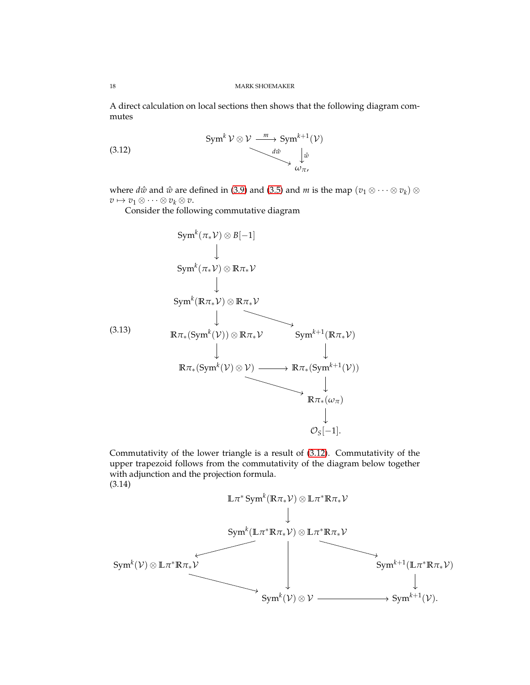A direct calculation on local sections then shows that the following diagram commutes

<span id="page-17-0"></span>(3.12) 
$$
\begin{array}{ccc}\n\text{Sym}^k V \otimes V & \xrightarrow{m} \text{Sym}^{k+1}(V) \\
\downarrow^{d\hat{w}} & \downarrow^{\hat{w}} \\
\omega_{\pi}, & \end{array}
$$

where  $d\hat{w}$  and  $\hat{w}$  are defined in [\(3.9\)](#page-16-2) and [\(3.5\)](#page-15-1) and  $m$  is the map  $(v_1 \otimes \cdots \otimes v_k) \otimes$  $v \mapsto v_1 \otimes \cdots \otimes v_k \otimes v.$ 

Consider the following commutative diagram

<span id="page-17-1"></span>
$$
\text{Sym}^{k}(\pi_{*}\mathcal{V}) \otimes B[-1]
$$
\n
$$
\downarrow
$$
\n
$$
\text{Sym}^{k}(\pi_{*}\mathcal{V}) \otimes \mathbb{R}\pi_{*}\mathcal{V}
$$
\n
$$
\downarrow
$$
\n
$$
\text{Sym}^{k}(\mathbb{R}\pi_{*}\mathcal{V}) \otimes \mathbb{R}\pi_{*}\mathcal{V}
$$
\n(3.13)\n
$$
\mathbb{R}\pi_{*}(\text{Sym}^{k}(\mathcal{V})) \otimes \mathbb{R}\pi_{*}\mathcal{V} \qquad \text{Sym}^{k+1}(\mathbb{R}\pi_{*}\mathcal{V})
$$
\n
$$
\downarrow \qquad \qquad \downarrow
$$
\n
$$
\mathbb{R}\pi_{*}(\text{Sym}^{k}(\mathcal{V}) \otimes \mathcal{V}) \longrightarrow \mathbb{R}\pi_{*}(\text{Sym}^{k+1}(\mathcal{V}))
$$
\n
$$
\downarrow
$$
\n
$$
\mathbb{R}\pi_{*}(\omega_{\pi})
$$
\n
$$
\downarrow
$$
\n
$$
\mathcal{O}_{S}[-1].
$$

Commutativity of the lower triangle is a result of [\(3.12\)](#page-17-0). Commutativity of the upper trapezoid follows from the commutativity of the diagram below together with adjunction and the projection formula. (3.14)

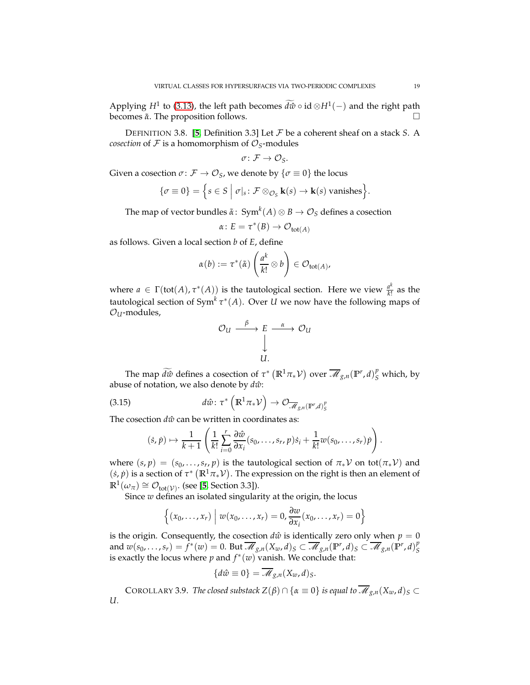Applying *H*<sup>1</sup> to [\(3.13\)](#page-17-1), the left path becomes  $d\hat{w} \circ id \otimes H^1(-)$  and the right path becomes  $\tilde{α}$ . The proposition follows.

DEFINITION 3.8. [**[5](#page-26-13)**, Definition 3.3] Let F be a coherent sheaf on a stack *S*. A *cosection* of  $F$  is a homomorphism of  $\mathcal{O}_S$ -modules

$$
\sigma\colon \mathcal{F}\to \mathcal{O}_S.
$$

Given a cosection  $\sigma \colon \mathcal{F} \to \mathcal{O}_S$ , we denote by  $\{\sigma \equiv 0\}$  the locus

$$
\{\sigma \equiv 0\} = \Big\{s \in S \mid \sigma|_s \colon \mathcal{F} \otimes_{\mathcal{O}_S} \mathbf{k}(s) \to \mathbf{k}(s) \text{ vanishes}\Big\}.
$$

The map of vector bundles  $\tilde{\alpha} \colon \operatorname{Sym}^k(A) \otimes B \to \mathcal{O}_S$  defines a cosection

$$
\alpha \colon E = \tau^*(B) \to \mathcal{O}_{\text{tot}(A)}
$$

as follows. Given a local section *b* of *E*, define

$$
\alpha(b) := \tau^*(\tilde{\alpha}) \left( \frac{a^k}{k!} \otimes b \right) \in \mathcal{O}_{\text{tot}(A)},
$$

where  $a \in \Gamma(\text{tot}(A), \tau^*(A))$  is the tautological section. Here we view  $\frac{a^k}{k!}$  $\frac{d^{\alpha}}{k!}$  as the tautological section of Sym*<sup>k</sup> τ* ∗ (*A*). Over *U* we now have the following maps of  $O<sub>U</sub>$ -modules,

$$
\begin{array}{ccc}\n\mathcal{O}_U & \xrightarrow{\beta} & E & \xrightarrow{\alpha} & \mathcal{O}_U \\
& \downarrow & & \downarrow \\
& U.\n\end{array}
$$

The map  $\widetilde{d\hat{w}}$  defines a cosection of  $\tau^*$  ( $\mathbb{R}^1\pi_*\mathcal{V}$ ) over  $\overline{\mathscr{M}}_{g,n}(\mathbb{P}^r,d)_{S}^p$  which, by abuse of notation, we also denote by  $d\hat{w}$ :

(3.15) 
$$
d\hat{w}: \tau^* \left( \mathbb{R}^1 \pi_* \mathcal{V} \right) \to \mathcal{O}_{\overline{\mathscr{M}}_{g,n}(\mathbb{P}^r,d)_S^p}
$$

The cosection  $d\hat{w}$  can be written in coordinates as:

$$
(\dot{s}, \dot{p}) \mapsto \frac{1}{k+1} \left( \frac{1}{k!} \sum_{i=0}^r \frac{\partial \hat{w}}{\partial x_i} (s_0, \ldots, s_r, p) \dot{s}_i + \frac{1}{k!} w(s_0, \ldots, s_r) \dot{p} \right).
$$

where  $(s, p) = (s_0, \ldots, s_r, p)$  is the tautological section of  $\pi_* V$  on tot $(\pi_* V)$  and  $(\dot{s}, \dot{p})$  is a section of  $\tau^* (\mathbb{R}^1 \pi_* \mathcal{V})$ . The expression on the right is then an element of  $\mathbb{R}^1(\omega_\pi) \cong \mathcal{O}_{\text{tot}(\mathcal{V})}$ . (see [**[5](#page-26-13)**, Section 3.3]).

Since *w* defines an isolated singularity at the origin, the locus

$$
\left\{ (x_0, \ldots, x_r) \middle| w(x_0, \ldots, x_r) = 0, \frac{\partial w}{\partial x_i}(x_0, \ldots, x_r) = 0 \right\}
$$

is the origin. Consequently, the cosection  $d\hat{w}$  is identically zero only when  $p = 0$ and  $w(s_0,\ldots,s_r)=\tilde{f}^*(w)=0.$  But  $\overline{\mathscr{M}}_{g,n}(X_w,d)_S\subset \overline{\mathscr{M}}_{g,n}({\mathbb P}^r,d)_S\subset \overline{\mathscr{M}}_{g,n}({\mathbb P}^r,d)_S^p$ *S* is exactly the locus where  $p$  and  $f^*(w)$  vanish. We conclude that:

$$
\{d\hat{w}\equiv 0\}=\overline{\mathcal{M}}_{g,n}(X_w,d)_S.
$$

<span id="page-18-0"></span>COROLLARY 3.9. *The closed substack*  $Z(\beta) \cap {\alpha \equiv 0}$  *is equal to*  $\overline{\mathscr{M}}_{g,n}(X_w, d)_S \subset$ *U.*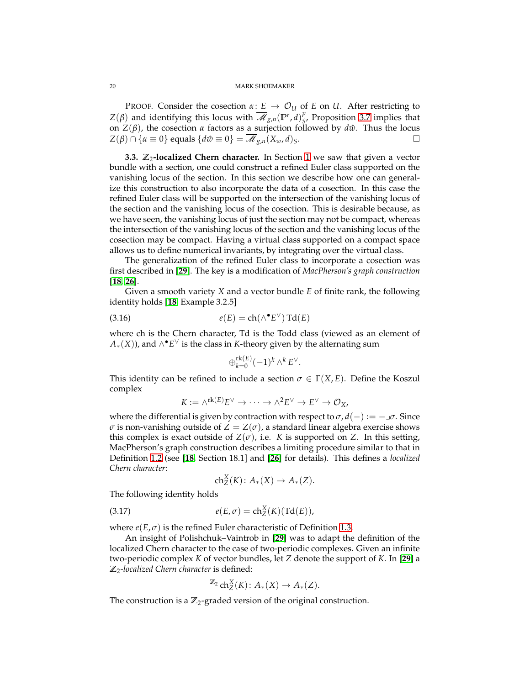PROOF. Consider the cosection  $\alpha: E \to \mathcal{O}_U$  of *E* on *U*. After restricting to  $Z(\beta)$  and identifying this locus with  $\overline{\mathscr{M}}_{g,n}(\mathbb{P}^r, d)_{S}^p$ *S* , Proposition [3.7](#page-16-3) implies that on *Z*( $β$ ), the cosection *α* factors as a surjection followed by *d* $\hat{w}$ . Thus the locus  $Z(\beta) \cap {\alpha \equiv 0}$  equals  ${d\hat{w} \equiv 0} = \overline{\mathcal{M}}_{g,n}(X_w, d)_S$ .

**3.3. Z<sub>2</sub>-localized Chern character.** In Section [1](#page-2-0) we saw that given a vector bundle with a section, one could construct a refined Euler class supported on the vanishing locus of the section. In this section we describe how one can generalize this construction to also incorporate the data of a cosection. In this case the refined Euler class will be supported on the intersection of the vanishing locus of the section and the vanishing locus of the cosection. This is desirable because, as we have seen, the vanishing locus of just the section may not be compact, whereas the intersection of the vanishing locus of the section and the vanishing locus of the cosection may be compact. Having a virtual class supported on a compact space allows us to define numerical invariants, by integrating over the virtual class.

The generalization of the refined Euler class to incorporate a cosection was first described in [**[29](#page-27-3)**]. The key is a modification of *MacPherson's graph construction* [**[18,](#page-26-10) [26](#page-27-6)**].

Given a smooth variety *X* and a vector bundle *E* of finite rank, the following identity holds [**[18](#page-26-10)**, Example 3.2.5]

(3.16) 
$$
e(E) = \text{ch}(\wedge^{\bullet} E^{\vee}) \text{Td}(E)
$$

where ch is the Chern character, Td is the Todd class (viewed as an element of  $A_*(X)$ ), and ∧ $^{\bullet}E^{\vee}$  is the class in *K*-theory given by the alternating sum

$$
\oplus_{k=0}^{\mathrm{rk}(E)}(-1)^k \wedge^k E^\vee.
$$

This identity can be refined to include a section  $\sigma \in \Gamma(X, E)$ . Define the Koszul complex

$$
K := \wedge^{\mathrm{rk}(E)} E^{\vee} \to \cdots \to \wedge^2 E^{\vee} \to E^{\vee} \to \mathcal{O}_X,
$$

where the differential is given by contraction with respect to  $\sigma$ ,  $d(-) := -\sigma$ . Since *σ* is non-vanishing outside of  $Z = Z(σ)$ , a standard linear algebra exercise shows this complex is exact outside of  $Z(\sigma)$ , i.e. *K* is supported on *Z*. In this setting, MacPherson's graph construction describes a limiting procedure similar to that in Definition [1.2](#page-3-1) (see [**[18](#page-26-10)**, Section 18.1] and [**[26](#page-27-6)**] for details). This defines a *localized Chern character*:

$$
ch^X_Z(K) \colon A_*(X) \to A_*(Z).
$$

The following identity holds

<span id="page-19-0"></span>(3.17) 
$$
e(E,\sigma) = \text{ch}_Z^X(K)(\text{Td}(E)),
$$

where  $e(E, \sigma)$  is the refined Euler characteristic of Definition [1.3.](#page-4-3)

An insight of Polishchuk–Vaintrob in [**[29](#page-27-3)**] was to adapt the definition of the localized Chern character to the case of two-periodic complexes. Given an infinite two-periodic complex *K* of vector bundles, let *Z* denote the support of *K*. In [**[29](#page-27-3)**] a **Z**2*-localized Chern character* is defined:

$$
\mathbb{Z}_2 ch^X_Z(K) : A_*(X) \to A_*(Z).
$$

The construction is a  $\mathbb{Z}_2$ -graded version of the original construction.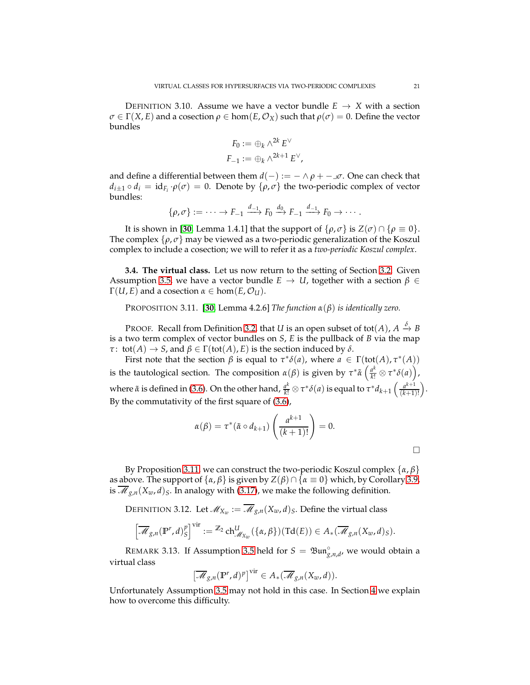<span id="page-20-2"></span>DEFINITION 3.10. Assume we have a vector bundle  $E \rightarrow X$  with a section  $\sigma \in \Gamma(X, E)$  and a cosection  $\rho \in \text{hom}(E, \mathcal{O}_X)$  such that  $\rho(\sigma) = 0$ . Define the vector bundles

$$
F_0 := \bigoplus_k \wedge^{2k} E^{\vee}
$$
  

$$
F_{-1} := \bigoplus_k \wedge^{2k+1} E^{\vee},
$$

and define a differential between them  $d(-) := - \wedge \rho + -\mu \sigma$ . One can check that  $d_{i+1} \circ d_i = id_{F_i} \cdot \rho(\sigma) = 0$ . Denote by  $\{\rho, \sigma\}$  the two-periodic complex of vector bundles:

$$
\{\rho,\sigma\}:=\cdots\to F_{-1}\xrightarrow{d_{-1}}F_0\xrightarrow{d_0}F_{-1}\xrightarrow{d_{-1}}F_0\to\cdots.
$$

It is shown in [[30](#page-27-1), Lemma 1.4.1] that the support of  $\{\rho, \sigma\}$  is  $Z(\sigma) \cap \{\rho \equiv 0\}$ . The complex  $\{\rho, \sigma\}$  may be viewed as a two-periodic generalization of the Koszul complex to include a cosection; we will to refer it as a *two-periodic Koszul complex*.

<span id="page-20-1"></span>**3.4. The virtual class.** Let us now return to the setting of Section [3.2.](#page-14-3) Given Assumption [3.5,](#page-15-0) we have a vector bundle  $E \rightarrow U$ , together with a section  $\beta \in$  $\Gamma(U, E)$  and a cosection  $\alpha \in \text{hom}(E, \mathcal{O}_U)$ .

<span id="page-20-0"></span>PROPOSITION 3.11. [**[30](#page-27-1)**, Lemma 4.2.6] *The function α*(*β*) *is identically zero.*

PROOF. Recall from Definition [3.2,](#page-13-0) that *U* is an open subset of tot(*A*),  $A \xrightarrow{\delta} B$ is a two term complex of vector bundles on *S*, *E* is the pullback of *B* via the map *τ* : tot(*A*)  $\rightarrow$  *S*, and  $\beta \in \Gamma(\text{tot}(A), E)$  is the section induced by  $\delta$ .

First note that the section  $\beta$  is equal to  $\tau^* \delta(a)$ , where  $a \in \Gamma(\text{tot}(A), \tau^*(A))$ is the tautological section. The composition  $\alpha(\beta)$  is given by  $\tau^*\tilde{\alpha}\left(\frac{a^k}{k!}\otimes \tau^*\delta(a)\right)$ , where  $\tilde{\alpha}$  is defined in [\(3.6\)](#page-15-2). On the other hand,  $\frac{a^k}{k!} \otimes \tau^* \delta(a)$  is equal to  $\tau^* d_{k+1} \left( \frac{a^{k+1}}{(k+1)} \right)$ (*k*+1)!  $\overline{ }$ By the commutativity of the first square of [\(3.6\)](#page-15-2),

$$
\alpha(\beta) = \tau^*(\tilde{\alpha} \circ d_{k+1}) \left( \frac{a^{k+1}}{(k+1)!} \right) = 0.
$$

By Proposition [3.11,](#page-20-0) we can construct the two-periodic Koszul complex {*α*, *β*} as above. The support of  $\{\alpha, \beta\}$  is given by  $Z(\beta) \cap \{\alpha \equiv 0\}$  which, by Corollary [3.9,](#page-18-0) is  $\overline{\mathcal{M}}_{g,n}(X_w,d)_S$ . In analogy with [\(3.17\)](#page-19-0), we make the following definition.

DEFINITION 3.12. Let  $\mathscr{M}_{X_w} := \overline{\mathscr{M}}_{g,n}(X_w,d)_S.$  Define the virtual class

$$
\left[\overline{\mathscr{M}}_{g,n}(\mathbb{P}^r,d)^p_{S}\right]^{\text{vir}}:=\mathbb{Z}_2 \,\mathrm{ch}^U_{\mathscr{M}_{X_w}}(\{\alpha,\beta\})(\mathrm{Td}(E))\in A_*(\overline{\mathscr{M}}_{g,n}(X_w,d)_S).
$$

REMARK 3.13. If Assumption [3.5](#page-15-0) held for  $S = \mathfrak{Bun}_{g,n,d}^{\circ}$ , we would obtain a virtual class

$$
\left[\overline{\mathscr{M}}_{g,n}(\mathbb{P}^r,d)^p\right]^{\text{vir}}\in A_*(\overline{\mathscr{M}}_{g,n}(X_w,d)).
$$

Unfortunately Assumption [3.5](#page-15-0) may not hold in this case. In Section [4](#page-21-0) we explain how to overcome this difficulty.

.

 $\Box$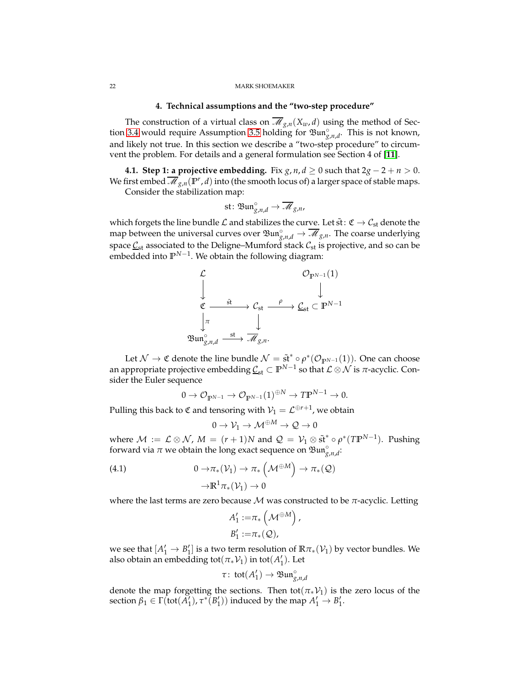## **4. Technical assumptions and the "two-step procedure"**

<span id="page-21-0"></span>The construction of a virtual class on  $\overline{\mathcal{M}}_{g,n}(X_w, d)$  using the method of Sec-tion [3.4](#page-20-1) would require Assumption [3.5](#page-15-0) holding for  $\mathfrak{Bun}^{\circ}_{g,n,d}$ . This is not known, and likely not true. In this section we describe a "two-step procedure" to circumvent the problem. For details and a general formulation see Section 4 of [**[11](#page-26-5)**].

**4.1. Step 1: a projective embedding.** Fix *g*, *n*, *d* ≥ 0 such that  $2g - 2 + n > 0$ . We first embed  $\overline{\mathscr{M}}_{g,n}(\mathbb{P}^r,d)$  into (the smooth locus of) a larger space of stable maps.

Consider the stabilization map:

st: Bun<sub>g,n,d</sub>
$$
\rightarrow \overline{\mathcal{M}}_{g,n}
$$
,

which forgets the line bundle  $\mathcal L$  and stabilizes the curve. Let  $\tilde{\rm st}\colon\mathfrak C\to\mathcal C_{\rm st}$  denote the map between the universal curves over  $\mathfrak{Bun}^{\circ}_{g,n,d} \to \overline{\mathscr{M}}_{g,n}$ . The coarse underlying space  $\mathcal{L}_{st}$  associated to the Deligne–Mumford stack  $\mathcal{L}_{st}$  is projective, and so can be embedded into  $\mathbb{P}^{N-1}$ . We obtain the following diagram:



Let  $\mathcal{N} \to \mathfrak{C}$  denote the line bundle  $\mathcal{N} = \tilde{\mathfrak{st}}^* \circ \rho^* (\mathcal{O}_{\mathbb{P}^{N-1}}(1)).$  One can choose an appropriate projective embedding  $\underline{\mathcal{C}}_{\rm st}\subset\mathbb{P}^{N-1}$  so that  $\mathcal{L}\otimes\mathcal{N}$  is  $\pi$ -acyclic. Consider the Euler sequence

$$
0 \to \mathcal{O}_{\mathbb{P}^{N-1}} \to \mathcal{O}_{\mathbb{P}^{N-1}}(1)^{\oplus N} \to T\mathbb{P}^{N-1} \to 0.
$$

Pulling this back to  $\mathfrak C$  and tensoring with  $\mathcal V_1=\mathcal L^{\oplus r+1}$ , we obtain

$$
0\to \mathcal{V}_1\to \mathcal{M}^{\oplus M}\to \mathcal{Q}\to 0
$$

where  $M := \mathcal{L} \otimes \mathcal{N}$ ,  $M = (r+1)N$  and  $\mathcal{Q} = \mathcal{V}_1 \otimes \tilde{\mathfrak{st}}^* \circ \rho^*(T\mathbb{P}^{N-1})$ . Pushing forward via  $\pi$  we obtain the long exact sequence on  $\mathfrak{Bun}^{\circ}_{g,n,d}$ .

(4.1) 
$$
0 \to \pi_*(\mathcal{V}_1) \to \pi_*\left(\mathcal{M}^{\oplus M}\right) \to \pi_*(\mathcal{Q})
$$

$$
\to \mathbb{R}^1 \pi_*(\mathcal{V}_1) \to 0
$$

where the last terms are zero because  $M$  was constructed to be  $\pi$ -acyclic. Letting

$$
A'_1 := \pi_* \left( \mathcal{M}^{\oplus M} \right)
$$
  

$$
B'_1 := \pi_* \left( \mathcal{Q} \right),
$$

,

we see that  $[A'_1 \rightarrow B'_1]$  is a two term resolution of  $\mathbb{R}\pi_*(\mathcal{V}_1)$  by vector bundles. We also obtain an embedding tot $(\pi_*\mathcal{V}_1)$  in tot $(A'_1)$ . Let

$$
\tau: \,\text{tot}(A'_1) \to \mathfrak{Bun}^{\circ}_{g,n,d}
$$

denote the map forgetting the sections. Then tot( $\pi_*\mathcal{V}_1$ ) is the zero locus of the section  $\beta_1 \in \Gamma(\text{tot}(\tilde{A}'_1), \tau^*(B'_1))$  induced by the map  $A'_1 \to B'_1$ .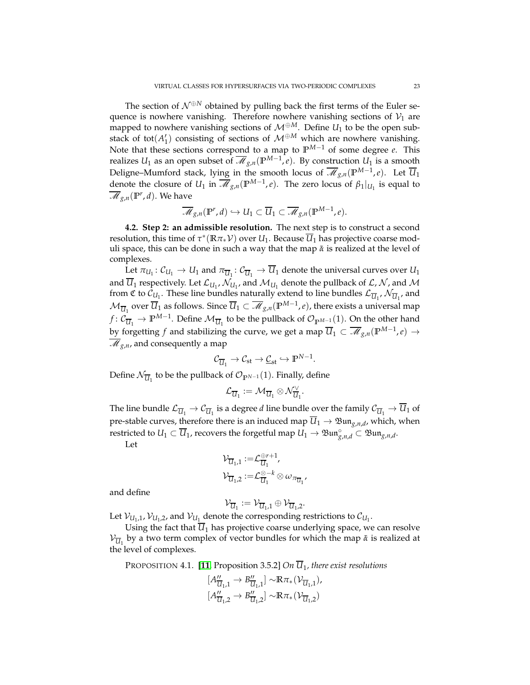The section of  $\mathcal{N}^{\oplus N}$  obtained by pulling back the first terms of the Euler sequence is nowhere vanishing. Therefore nowhere vanishing sections of  $V_1$  are mapped to nowhere vanishing sections of  $\mathcal{M}^{\oplus M}$ . Define  $U_1$  to be the open substack of tot( $A'_1$ ) consisting of sections of  $M^{\oplus M}$  which are nowhere vanishing. Note that these sections correspond to a map to **P** *<sup>M</sup>*−<sup>1</sup> of some degree *e*. This realizes  $U_1$  as an open subset of  $\overline{\mathscr{M}}_{g,n}(\mathbb{P}^{M-1},e)$ . By construction  $U_1$  is a smooth Deligne–Mumford stack, lying in the smooth locus of  $\overline{\mathscr{M}}_{g,n}(\mathbb{P}^{M-1},e)$ . Let  $\overline{\mathcal{U}}_1$ denote the closure of *U*<sub>1</sub> in  $\overline{\mathcal{M}}_{g,n}(\mathbb{P}^{M-1},e)$ . The zero locus of  $\beta_1|_{U_1}$  is equal to  $\overline{\mathscr{M}}_{g,n}(\mathbb{P}^r,d)$ . We have

$$
\overline{\mathcal{M}}_{g,n}(\mathbb{P}^r,d)\hookrightarrow U_1\subset \overline{U}_1\subset \overline{\mathcal{M}}_{g,n}(\mathbb{P}^{M-1},e).
$$

**4.2. Step 2: an admissible resolution.** The next step is to construct a second resolution, this time of  $\tau^*(\mathbb{R}\pi_*\mathcal{V})$  over  $U_1$ . Because  $\overline{U}_1$  has projective coarse moduli space, this can be done in such a way that the map  $\tilde{\alpha}$  is realized at the level of complexes.

Let  $\pi_{U_1} : \mathcal{C}_{U_1} \to U_1$  and  $\pi_{\overline{U}_1} : \mathcal{C}_{\overline{U}_1} \to U_1$  denote the universal curves over  $U_1$ and  $U_1$  respectively. Let  $\mathcal{L}_{U_1}, \mathcal{N}_{U_1}$ , and  $\mathcal{M}_{U_1}$  denote the pullback of  $\mathcal{L}, \mathcal{N}$ , and  $\mathcal{M}$ from C to  $\tilde{C}_{U_1}$ . These line bundles naturally extend to line bundles  $\mathcal{L}_{\overline{U}_1}$ ,  $\mathcal{N}_{\overline{U}_1}$ , and  $\mathcal{M}_{\overline{U}_1}$  over  $\overline{\overline{U}}_1$  as follows. Since  $\overline{U}_1\subset\overline{\mathscr{M}}_{g,n}({\mathbb P}^{M-1},e)$ , there exists a universal map *f* :  $\mathcal{C}_{\overline{U}_1}$  →  $\mathbb{P}^{M-1}$ . Define  $\mathcal{M}_{\overline{U}_1}$  to be the pullback of  $\mathcal{O}_{\mathbb{P}^{M-1}}(1)$ . On the other hand by forgetting  $f$  and stabilizing the curve, we get a map  $\overline{U}_1\subset \overline{\mathscr{M}}_{g,n}({\mathbb{P}}^{M-1},e)\to$  $\overline{\mathcal{M}}_{g,n}$ , and consequently a map

$$
\mathcal{C}_{\overline{\mathcal{U}}_1} \rightarrow \mathcal{C}_{\mathrm{st}} \rightarrow \underline{\mathcal{C}}_{\mathrm{st}} \hookrightarrow \mathbb{P}^{N-1}.
$$

Define  $\mathcal{N}_{\overline{\mathcal{U}}_1}$  to be the pullback of  $\mathcal{O}_{\mathbb{P}^{N-1}}(1).$  Finally, define

$$
\mathcal{L}_{\overline{U}_1} := \mathcal{M}_{\overline{U}_1} \otimes \mathcal{N}_{\overline{U}_1}^{\vee}
$$

.

The line bundle  $\mathcal{L}_{\overline{U}_1}\to\mathcal{C}_{\overline{U}_1}$  is a degree  $d$  line bundle over the family  $\mathcal{C}_{\overline{U}_1}\to U_1$  of pre-stable curves, therefore there is an induced map  $\overline{\mathcal{U}}_1 \to \mathfrak{Bun}_{g,n,d}$ , which, when restricted to  $U_1\subset \overline{U}_1$ , recovers the forgetful map  $U_1\to \mathfrak{Bun}^\circ_{g,n,d}\subset \mathfrak{Bun}_{g,n,d}.$ 

Let

$$
\begin{aligned} \mathcal{V}_{\overline{\mathcal{U}}_1,1} &:= \mathcal{L}_{\overline{\mathcal{U}}_1}^{\oplus r+1}, \\ \mathcal{V}_{\overline{\mathcal{U}}_1,2} &:= \mathcal{L}_{\overline{\mathcal{U}}_1}^{\otimes-k} \otimes \omega_{\pi_{\overline{\mathcal{U}}_1}} \end{aligned}
$$

and define

$$
\mathcal{V}_{\overline{\mathcal{U}}_1}:=\mathcal{V}_{\overline{\mathcal{U}}_1,1}\oplus \mathcal{V}_{\overline{\mathcal{U}}_1,2}.
$$

Let  $\mathcal{V}_{U_1,1}, \mathcal{V}_{U_1,2}$ , and  $\mathcal{V}_{U_1}$  denote the corresponding restrictions to  $\mathcal{C}_{U_1}$ .

Using the fact that  $\overline{U}_1$  has projective coarse underlying space, we can resolve  $\mathcal{V}_{\overline{U}_1}$  by a two term complex of vector bundles for which the map  $\tilde{\alpha}$  is realized at the level of complexes.

<span id="page-22-0"></span>PROPOSITION 4.1. [**[11](#page-26-5)**, Proposition 3.5.2] *On U*<sup>1</sup> *, there exist resolutions*

$$
[A''_{\overline{U}_1,1} \to B''_{\overline{U}_1,1}] \sim R\pi_*(\mathcal{V}_{\overline{U}_1,1}),
$$
  

$$
[A''_{\overline{U}_1,2} \to B''_{\overline{U}_1,2}] \sim R\pi_*(\mathcal{V}_{\overline{U}_1,2})
$$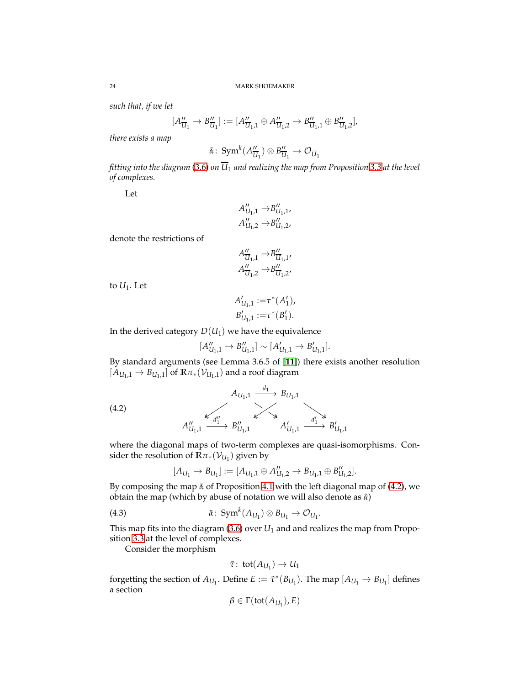*such that, if we let*

$$
[A_{\overline{U}_1}'' \to B_{\overline{U}_1}''] := [A_{\overline{U}_1,1}'' \oplus A_{\overline{U}_1,2}'' \to B_{\overline{U}_1,1}'' \oplus B_{\overline{U}_1,2}''],
$$

*there exists a map*

$$
\tilde{\alpha} \colon \operatorname{Sym}^k(A''_{\overline{U}_1}) \otimes B''_{\overline{U}_1} \to \mathcal{O}_{\overline{U}_1}
$$

*fitting into the diagram* [\(3.6\)](#page-15-2) *on*  $\overline{U}_1$  *and realizing the map from Proposition* [3.3](#page-14-4) *at the level of complexes.*

Let

$$
A''_{U_1,1} \to B''_{U_1,1},
$$
  

$$
A''_{U_1,2} \to B''_{U_1,2},
$$

denote the restrictions of

$$
A''_{\overline{U}_1,1} \rightarrow B''_{\overline{U}_1,1'}
$$
  

$$
A''_{\overline{U}_1,2} \rightarrow B''_{\overline{U}_1,2'}
$$

to  $U_1$ . Let

$$
A'_{U_1,1} := \tau^*(A'_1),
$$
  

$$
B'_{U_1,1} := \tau^*(B'_1).
$$

In the derived category  $D(U_1)$  we have the equivalence

$$
[A''_{U_1,1} \to B''_{U_1,1}] \sim [A'_{U_1,1} \to B'_{U_1,1}].
$$

By standard arguments (see Lemma 3.6.5 of [**[11](#page-26-5)**]) there exists another resolution  $\left[\check{A}_{U_1,1} \to B_{U_1,1}\right]$  of  $\mathbb{R}\pi_*(\mathcal{V}_{U_1,1})$  and a roof diagram

(4.2)  

$$
A_{U_1,1} \xrightarrow{d_1} B_{U_1,1}
$$

$$
A_{U_1,1}^{\prime\prime} \xrightarrow{d_1^{\prime\prime}} B_{U_1,1}^{\prime\prime} \xrightarrow{d_1^{\prime}} A_{U_1,1}^{\prime\prime} \xrightarrow{d_1^{\prime}} B_{U_1,1}^{\prime\prime}
$$

where the diagonal maps of two-term complexes are quasi-isomorphisms. Consider the resolution of  $\bar{\mathbb{R}}\pi_*(\mathcal{V}_{U_1})$  given by

<span id="page-23-0"></span>
$$
[A_{U_1} \to B_{U_1}] := [A_{U_1,1} \oplus A''_{U_1,2} \to B_{U_1,1} \oplus B''_{U_1,2}].
$$

By composing the map *α*˜ of Proposition [4.1](#page-22-0) with the left diagonal map of [\(4.2\)](#page-23-0), we obtain the map (which by abuse of notation we will also denote as *α*˜)

<span id="page-23-1"></span>(4.3) 
$$
\tilde{\alpha} \colon \operatorname{Sym}^k(A_{U_1}) \otimes B_{U_1} \to \mathcal{O}_{U_1}.
$$

This map fits into the diagram  $(3.6)$  over  $U_1$  and and realizes the map from Proposition [3.3](#page-14-4) at the level of complexes.

Consider the morphism

$$
\tilde{\tau} \colon \mathrm{tot}(A_{U_1}) \to U_1
$$

forgetting the section of  $A_{U_1}$ . Define  $E := \tilde{\tau}^*(B_{U_1})$ . The map  $[A_{U_1} \to B_{U_1}]$  defines a section

$$
\beta \in \Gamma(\text{tot}(A_{U_1}), E)
$$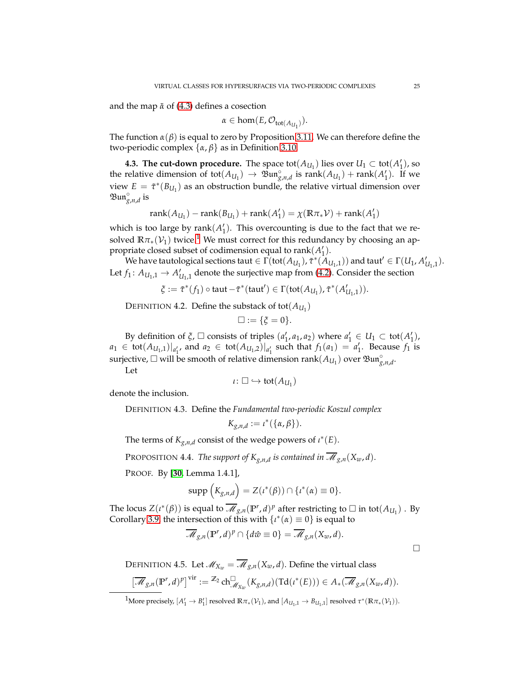and the map *α*˜ of [\(4.3\)](#page-23-1) defines a cosection

$$
\alpha \in \text{hom}(E, \mathcal{O}_{\text{tot}(A_{U_1})}).
$$

The function  $\alpha(\beta)$  is equal to zero by Proposition [3.11.](#page-20-0) We can therefore define the two-periodic complex {*α*, *β*} as in Definition [3.10.](#page-20-2)

**4.3. The cut-down procedure.** The space  $\text{tot}(A_{U_1})$  lies over  $U_1 \subset \text{tot}(A'_1)$ , so the relative dimension of tot $(A_{U_1}) \to \mathfrak{Bun}_{g,n,d}^{\circ}$  is  $rank(A_{U_1}) + rank(A'_1)$ . If we view  $E = \tilde{\tau}^*(B_{U_1})$  as an obstruction bundle, the relative virtual dimension over  $\mathfrak{Bun}_{g,n,d}^{\circ}$  is

$$
rank(A_{U_1}) - rank(B_{U_1}) + rank(A'_1) = \chi(\mathbb{R}\pi_*\mathcal{V}) + rank(A'_1)
$$

which is too large by  $rank(A'_1)$ . This overcounting is due to the fact that we resolved  $\mathbb{R}\pi_*(\mathcal{V}_1)$  $\mathbb{R}\pi_*(\mathcal{V}_1)$  $\mathbb{R}\pi_*(\mathcal{V}_1)$  twice.<sup>1</sup> We must correct for this redundancy by choosing an appropriate closed subset of codimension equal to  $\text{rank}(A'_1)$ .

We have tautological sections taut  $\in \Gamma(\text{tot}(A_{U_1}), \tilde{\tau}^*(A_{U_1,1}))$  and taut'  $\in \Gamma(U_1, A'_{U_1,1})$ . Let  $f_1: A_{U_1,1} \to A'_{U_1,1}$  denote the surjective map from [\(4.2\)](#page-23-0). Consider the section

 $\xi := \tilde{\tau}^*(f_1) \circ \text{taut} - \tilde{\tau}^*(\text{taut}') \in \Gamma(\text{tot}(A_{U_1}), \tilde{\tau}^*(A'_{U_1,1})).$ 

DEFINITION 4.2. Define the substack of  $\text{tot}(A_{U_1})$ 

$$
\Box := \{\xi = 0\}.
$$

By definition of  $\xi$ ,  $\square$  consists of triples  $(a'_1, a_1, a_2)$  where  $a'_1 \in U_1 \subset \text{tot}(A'_1)$ ,  $a_1 \in \text{tot}(A_{U_1,1})|_{a'_1}$ , and  $a_2 \in \text{tot}(A_{U_1,2})|_{a'_1}$  such that  $f_1(a_1) = a'_1$ . Because  $f_1$  is surjective,  $\Box$  will be smooth of relative dimension  $\text{rank}(A_{U_1})$  over  $\mathfrak{Bun}^{\circ}_{g,n,d}$ .

Let

$$
\iota\colon\square\hookrightarrow\mathsf{tot}(A_{U_1})
$$

denote the inclusion.

DEFINITION 4.3. Define the *Fundamental two-periodic Koszul complex*

$$
K_{g,n,d} := \iota^*(\{\alpha,\beta\}).
$$

The terms of  $K_{g,n,d}$  consist of the wedge powers of  $\iota^*(E)$ .

PROPOSITION 4.4. *The support of*  $K_{g,n,d}$  *is contained in*  $\overline{\mathscr{M}}_{g,n}(X_w,d)$ *.* 

PROOF. By [**[30](#page-27-1)**, Lemma 1.4.1],

$$
\operatorname{supp}\left(K_{g,n,d}\right)=Z(\iota^*(\beta))\cap\{\iota^*(\alpha)\equiv 0\}.
$$

The locus  $Z(\iota^*(\beta))$  is equal to  $\overline{\mathscr{M}}_{g,n}(\mathbb{P}^r,d)^p$  after restricting to  $\Box$  in tot $(A_{U_1})$  . By Corollary [3.9,](#page-18-0) the intersection of this with  $\{t^*(\alpha) \equiv 0\}$  is equal to

$$
\overline{\mathcal{M}}_{g,n}(\mathbb{P}^r,d)^p \cap \{d\hat{w} \equiv 0\} = \overline{\mathcal{M}}_{g,n}(X_w,d).
$$

<span id="page-24-1"></span>DEFINITION 4.5. Let  $\mathcal{M}_{X_w} = \overline{\mathcal{M}}_{g,n}(X_w, d)$ . Define the virtual class

$$
\left[\overline{\mathcal{M}}_{g,n}(\mathbb{P}^r,d)^p\right]^{\text{vir}}:=\mathbb{Z}_2\operatorname{ch}^{\square}_{\mathcal{M}_{X_w}}(K_{g,n,d})(\operatorname{Td}(\iota^*(E)))\in A_*(\overline{\mathcal{M}}_{g,n}(X_w,d)).
$$

<span id="page-24-0"></span> $^1$ More precisely,  $[A'_1 \to B'_1]$  resolved  $\mathbb{R}\pi_*(\mathcal{V}_1)$ , and  $[A_{U_1,1} \to B_{U_1,1}]$  resolved  $\tau^*(\mathbb{R}\pi_*(\mathcal{V}_1))$ .

 $\Box$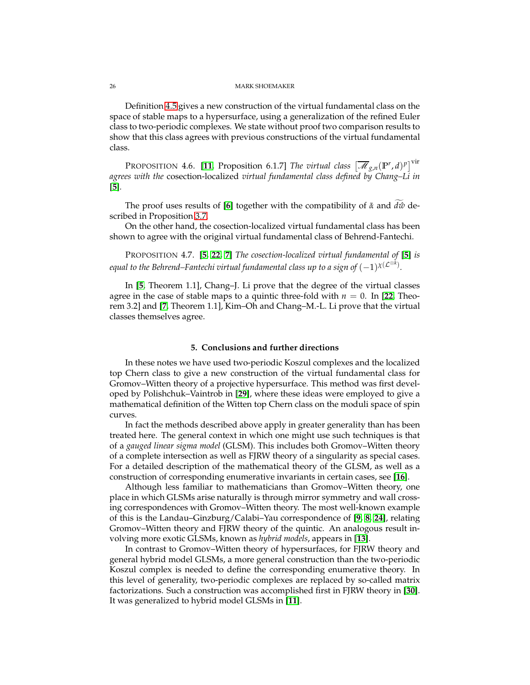Definition [4.5](#page-24-1) gives a new construction of the virtual fundamental class on the space of stable maps to a hypersurface, using a generalization of the refined Euler class to two-periodic complexes. We state without proof two comparison results to show that this class agrees with previous constructions of the virtual fundamental class.

PROPOSITION 4.6. [[11](#page-26-5), Proposition 6.1.7] *The virtual class*  $\left[\overline{\mathscr{M}}_{g,n}(\mathbb{P}^r,d)^p\right]^\text{vir}$ *agrees with the* cosection-localized *virtual fundamental class defined by Chang–Li in* [**[5](#page-26-13)**]*.*

The proof uses results of [[6](#page-26-20)] together with the compatibility of  $\tilde{\alpha}$  and *d* $\hat{\omega}$  described in Proposition [3.7.](#page-16-3)

On the other hand, the cosection-localized virtual fundamental class has been shown to agree with the original virtual fundamental class of Behrend-Fantechi.

PROPOSITION 4.7. [**[5,](#page-26-13) [22,](#page-26-21) [7](#page-26-22)**] *The cosection-localized virtual fundamental of* [**[5](#page-26-13)**] *is* equal to the Behrend–Fantechi virtual fundamental class up to a sign of  $(-1)^{\chi({\cal L}^{\otimes k})}.$ 

In [**[5](#page-26-13)**, Theorem 1.1], Chang–J. Li prove that the degree of the virtual classes agree in the case of stable maps to a quintic three-fold with  $n = 0$ . In [[22](#page-26-21), Theorem 3.2] and [**[7](#page-26-22)**, Theorem 1.1], Kim–Oh and Chang–M.-L. Li prove that the virtual classes themselves agree.

## **5. Conclusions and further directions**

<span id="page-25-0"></span>In these notes we have used two-periodic Koszul complexes and the localized top Chern class to give a new construction of the virtual fundamental class for Gromov–Witten theory of a projective hypersurface. This method was first developed by Polishchuk–Vaintrob in [**[29](#page-27-3)**], where these ideas were employed to give a mathematical definition of the Witten top Chern class on the moduli space of spin curves.

In fact the methods described above apply in greater generality than has been treated here. The general context in which one might use such techniques is that of a *gauged linear sigma model* (GLSM). This includes both Gromov–Witten theory of a complete intersection as well as FJRW theory of a singularity as special cases. For a detailed description of the mathematical theory of the GLSM, as well as a construction of corresponding enumerative invariants in certain cases, see [**[16](#page-26-9)**].

Although less familiar to mathematicians than Gromov–Witten theory, one place in which GLSMs arise naturally is through mirror symmetry and wall crossing correspondences with Gromov–Witten theory. The most well-known example of this is the Landau–Ginzburg/Calabi–Yau correspondence of [**[9,](#page-26-23) [8,](#page-26-24) [24](#page-26-25)**], relating Gromov–Witten theory and FJRW theory of the quintic. An analogous result involving more exotic GLSMs, known as *hybrid models*, appears in [**[13](#page-26-19)**].

In contrast to Gromov–Witten theory of hypersurfaces, for FJRW theory and general hybrid model GLSMs, a more general construction than the two-periodic Koszul complex is needed to define the corresponding enumerative theory. In this level of generality, two-periodic complexes are replaced by so-called matrix factorizations. Such a construction was accomplished first in FJRW theory in [**[30](#page-27-1)**]. It was generalized to hybrid model GLSMs in [**[11](#page-26-5)**].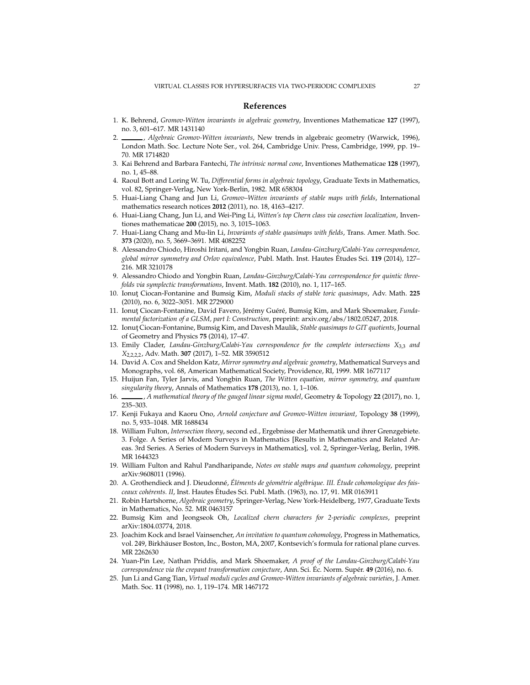### <span id="page-26-0"></span>**References**

- <span id="page-26-14"></span><span id="page-26-1"></span>1. K. Behrend, *Gromov-Witten invariants in algebraic geometry*, Inventiones Mathematicae **127** (1997), no. 3, 601–617. MR 1431140
- 2. , *Algebraic Gromov-Witten invariants*, New trends in algebraic geometry (Warwick, 1996), London Math. Soc. Lecture Note Ser., vol. 264, Cambridge Univ. Press, Cambridge, 1999, pp. 19– 70. MR 1714820
- <span id="page-26-11"></span><span id="page-26-2"></span>3. Kai Behrend and Barbara Fantechi, *The intrinsic normal cone*, Inventiones Mathematicae **128** (1997), no. 1, 45–88.
- 4. Raoul Bott and Loring W. Tu, *Differential forms in algebraic topology*, Graduate Texts in Mathematics, vol. 82, Springer-Verlag, New York-Berlin, 1982. MR 658304
- <span id="page-26-13"></span>5. Huai-Liang Chang and Jun Li, *Gromov–Witten invariants of stable maps with fields*, International mathematics research notices **2012** (2011), no. 18, 4163–4217.
- <span id="page-26-20"></span>6. Huai-Liang Chang, Jun Li, and Wei-Ping Li, *Witten's top Chern class via cosection localization*, Inventiones mathematicae **200** (2015), no. 3, 1015–1063.
- <span id="page-26-22"></span>7. Huai-Liang Chang and Mu-lin Li, *Invariants of stable quasimaps with fields*, Trans. Amer. Math. Soc. **373** (2020), no. 5, 3669–3691. MR 4082252
- <span id="page-26-24"></span>8. Alessandro Chiodo, Hiroshi Iritani, and Yongbin Ruan, *Landau-Ginzburg/Calabi-Yau correspondence, global mirror symmetry and Orlov equivalence*, Publ. Math. Inst. Hautes Etudes Sci. ´ **119** (2014), 127– 216. MR 3210178
- <span id="page-26-23"></span>9. Alessandro Chiodo and Yongbin Ruan, *Landau-Ginzburg/Calabi-Yau correspondence for quintic threefolds via symplectic transformations*, Invent. Math. **182** (2010), no. 1, 117–165.
- <span id="page-26-16"></span>10. Ionut¸ Ciocan-Fontanine and Bumsig Kim, *Moduli stacks of stable toric quasimaps*, Adv. Math. **225** (2010), no. 6, 3022–3051. MR 2729000
- <span id="page-26-5"></span>11. Ionut Ciocan-Fontanine, David Favero, Jérémy Guéré, Bumsig Kim, and Mark Shoemaker, *Fundamental factorization of a GLSM, part I: Construction*, preprint: arxiv.org/abs/1802.05247, 2018.
- <span id="page-26-17"></span>12. Ionut Ciocan-Fontanine, Bumsig Kim, and Davesh Maulik, *Stable quasimaps to GIT quotients*, Journal of Geometry and Physics **75** (2014), 17–47.
- <span id="page-26-19"></span>13. Emily Clader, *Landau-Ginzburg/Calabi-Yau correspondence for the complete intersections X*3,3 *and X*2,2,2,2, Adv. Math. **307** (2017), 1–52. MR 3590512
- <span id="page-26-18"></span>14. David A. Cox and Sheldon Katz, *Mirror symmetry and algebraic geometry*, Mathematical Surveys and Monographs, vol. 68, American Mathematical Society, Providence, RI, 1999. MR 1677117
- <span id="page-26-8"></span>15. Huijun Fan, Tyler Jarvis, and Yongbin Ruan, *The Witten equation, mirror symmetry, and quantum singularity theory*, Annals of Mathematics **178** (2013), no. 1, 1–106.
- <span id="page-26-9"></span><span id="page-26-3"></span>16. , *A mathematical theory of the gauged linear sigma model*, Geometry & Topology **22** (2017), no. 1, 235–303.
- 17. Kenji Fukaya and Kaoru Ono, *Arnold conjecture and Gromov-Witten invariant*, Topology **38** (1999), no. 5, 933–1048. MR 1688434
- <span id="page-26-10"></span>18. William Fulton, *Intersection theory*, second ed., Ergebnisse der Mathematik und ihrer Grenzgebiete. 3. Folge. A Series of Modern Surveys in Mathematics [Results in Mathematics and Related Areas. 3rd Series. A Series of Modern Surveys in Mathematics], vol. 2, Springer-Verlag, Berlin, 1998. MR 1644323
- <span id="page-26-15"></span>19. William Fulton and Rahul Pandharipande, *Notes on stable maps and quantum cohomology*, preprint arXiv:9608011 (1996).
- <span id="page-26-12"></span>20. A. Grothendieck and J. Dieudonné, Éléments de géométrie algébrique. III. Étude cohomologique des fais*ceaux coh´erents. II*, Inst. Hautes Etudes Sci. Publ. Math. (1963), no. 17, 91. MR 0163911 ´
- <span id="page-26-6"></span>21. Robin Hartshorne, *Algebraic geometry*, Springer-Verlag, New York-Heidelberg, 1977, Graduate Texts in Mathematics, No. 52. MR 0463157
- <span id="page-26-21"></span>22. Bumsig Kim and Jeongseok Oh, *Localized chern characters for 2-periodic complexes*, preprint arXiv:1804.03774, 2018.
- <span id="page-26-7"></span>23. Joachim Kock and Israel Vainsencher, *An invitation to quantum cohomology*, Progress in Mathematics, vol. 249, Birkhäuser Boston, Inc., Boston, MA, 2007, Kontsevich's formula for rational plane curves. MR 2262630
- <span id="page-26-25"></span>24. Yuan-Pin Lee, Nathan Priddis, and Mark Shoemaker, *A proof of the Landau-Ginzburg/Calabi-Yau correspondence via the crepant transformation conjecture*, Ann. Sci. Ec. Norm. Sup´er. ´ **49** (2016), no. 6.
- <span id="page-26-4"></span>25. Jun Li and Gang Tian, *Virtual moduli cycles and Gromov-Witten invariants of algebraic varieties*, J. Amer. Math. Soc. **11** (1998), no. 1, 119–174. MR 1467172